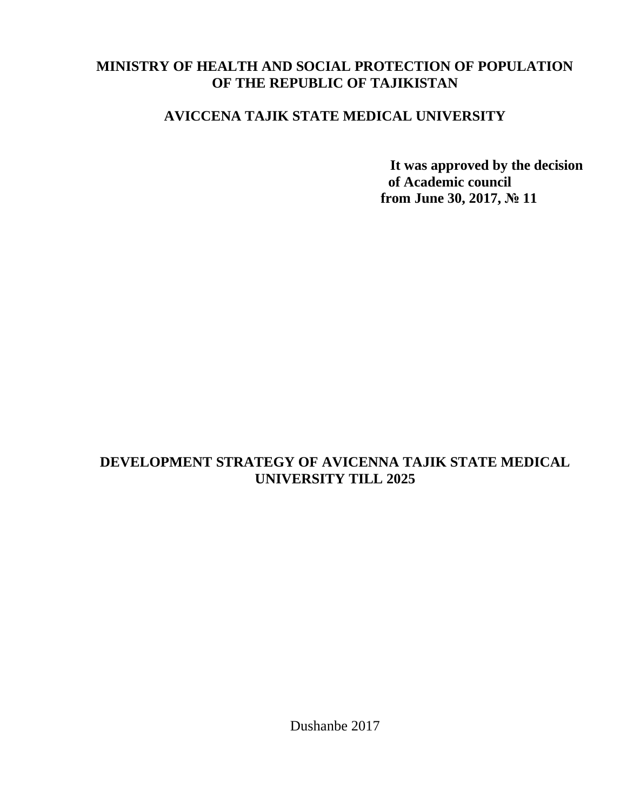### **MINISTRY OF HEALTH AND SOCIAL PROTECTION OF POPULATION OF THE REPUBLIC OF TAJIKISTAN**

# **AVICCENA TAJIK STATE MEDICAL UNIVERSITY**

**It was approved by the decision of Academic council from June 30, 2017, № 11**

# **DEVELOPMENT STRATEGY OF AVICENNA TAJIK STATE MEDICAL UNIVERSITY TILL 2025**

Dushanbe 2017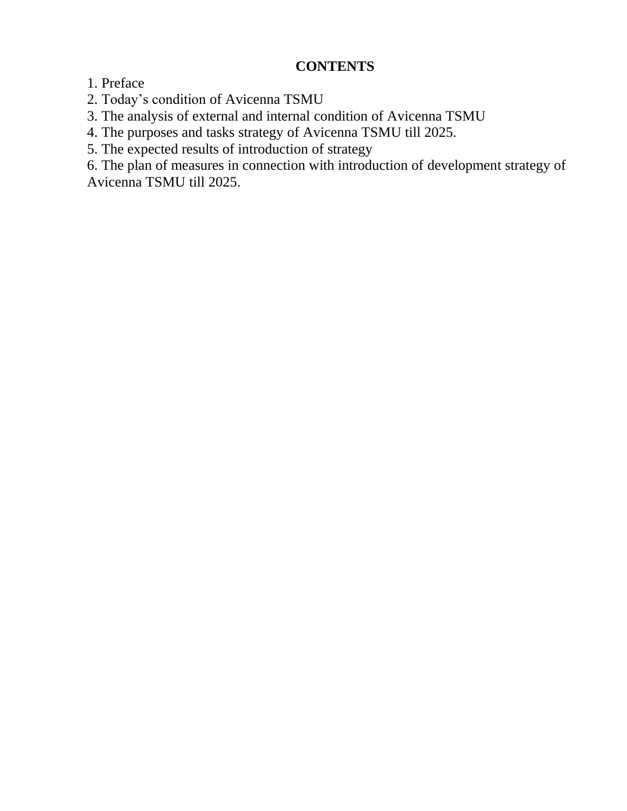### **CONTENTS**

1. Preface

2. Today's condition of Avicenna TSMU

3. The analysis of external and internal condition of Avicenna TSMU

4. The purposes and tasks strategy of Avicenna TSMU till 2025.

5. The expected results of introduction of strategy

6. The plan of measures in connection with introduction of development strategy of Avicenna TSMU till 2025.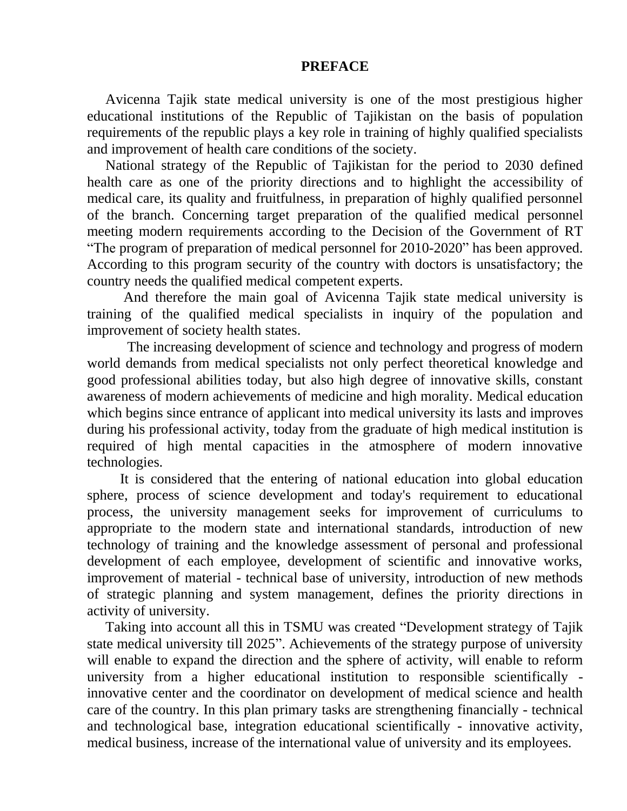### **PREFACE**

Avicenna Tajik state medical university is one of the most prestigious higher educational institutions of the Republic of Tajikistan on the basis of population requirements of the republic plays a key role in training of highly qualified specialists and improvement of health care conditions of the society.

National strategy of the Republic of Tajikistan for the period to 2030 defined health care as one of the priority directions and to highlight the accessibility of medical care, its quality and fruitfulness, in preparation of highly qualified personnel of the branch. Concerning target preparation of the qualified medical personnel meeting modern requirements according to the Decision of the Government of RT "The program of preparation of medical personnel for 2010-2020" has been approved. According to this program security of the country with doctors is unsatisfactory; the country needs the qualified medical competent experts.

 And therefore the main goal of Avicenna Tajik state medical university is training of the qualified medical specialists in inquiry of the population and improvement of society health states.

 The increasing development of science and technology and progress of modern world demands from medical specialists not only perfect theoretical knowledge and good professional abilities today, but also high degree of innovative skills, constant awareness of modern achievements of medicine and high morality. Medical education which begins since entrance of applicant into medical university its lasts and improves during his professional activity, today from the graduate of high medical institution is required of high mental capacities in the atmosphere of modern innovative technologies.

 It is considered that the entering of national education into global education sphere, process of science development and today's requirement to educational process, the university management seeks for improvement of curriculums to appropriate to the modern state and international standards, introduction of new technology of training and the knowledge assessment of personal and professional development of each employee, development of scientific and innovative works, improvement of material - technical base of university, introduction of new methods of strategic planning and system management, defines the priority directions in activity of university.

Taking into account all this in TSMU was created "Development strategy of Tajik state medical university till 2025". Achievements of the strategy purpose of university will enable to expand the direction and the sphere of activity, will enable to reform university from a higher educational institution to responsible scientifically innovative center and the coordinator on development of medical science and health care of the country. In this plan primary tasks are strengthening financially - technical and technological base, integration educational scientifically - innovative activity, medical business, increase of the international value of university and its employees.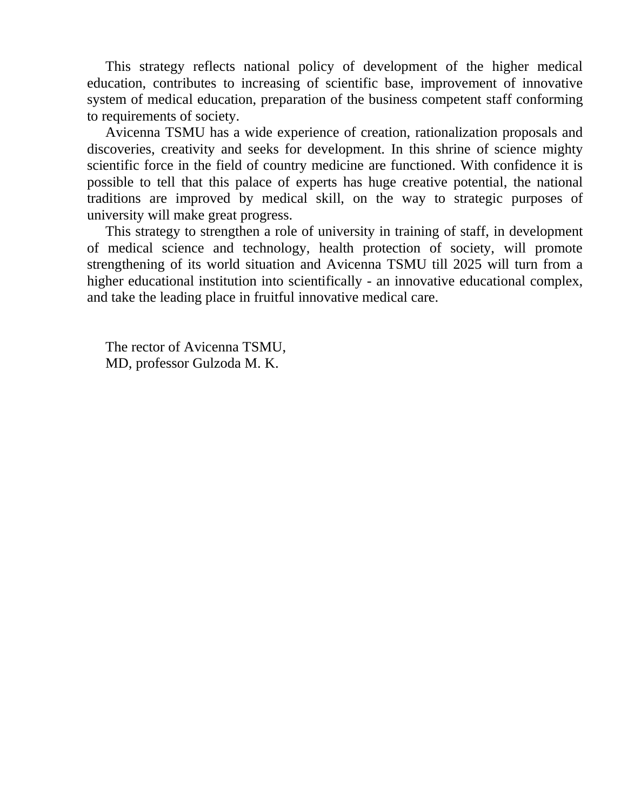This strategy reflects national policy of development of the higher medical education, contributes to increasing of scientific base, improvement of innovative system of medical education, preparation of the business competent staff conforming to requirements of society.

Avicenna TSMU has a wide experience of creation, rationalization proposals and discoveries, creativity and seeks for development. In this shrine of science mighty scientific force in the field of country medicine are functioned. With confidence it is possible to tell that this palace of experts has huge creative potential, the national traditions are improved by medical skill, on the way to strategic purposes of university will make great progress.

This strategy to strengthen a role of university in training of staff, in development of medical science and technology, health protection of society, will promote strengthening of its world situation and Avicenna TSMU till 2025 will turn from a higher educational institution into scientifically - an innovative educational complex, and take the leading place in fruitful innovative medical care.

The rector of Avicenna TSMU, MD, professor Gulzoda M. K.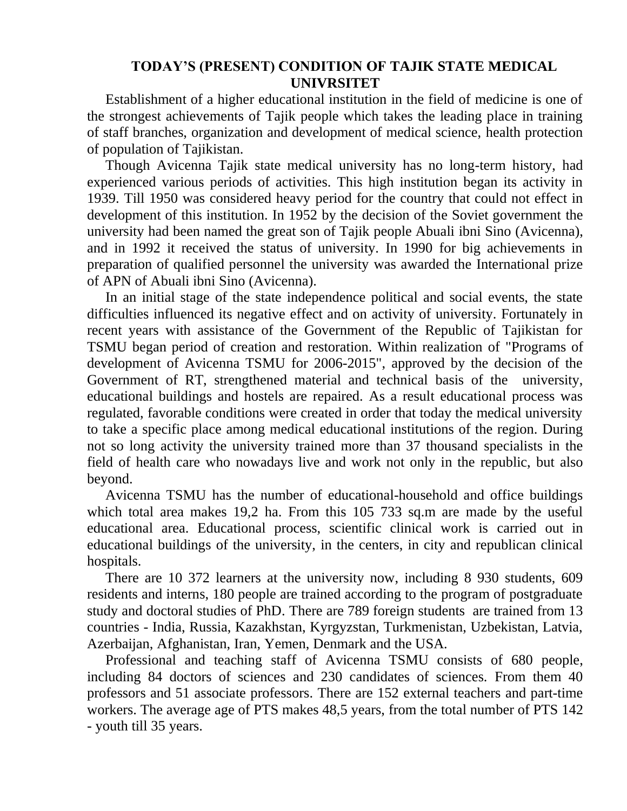### **TODAY'S (PRESENT) CONDITION OF TAJIK STATE MEDICAL UNIVRSITET**

Establishment of a higher educational institution in the field of medicine is one of the strongest achievements of Tajik people which takes the leading place in training of staff branches, organization and development of medical science, health protection of population of Tajikistan.

Though Avicenna Tajik state medical university has no long-term history, had experienced various periods of activities. This high institution began its activity in 1939. Till 1950 was considered heavy period for the country that could not effect in development of this institution. In 1952 by the decision of the Soviet government the university had been named the great son of Tajik people Abuali ibni Sino (Avicenna), and in 1992 it received the status of university. In 1990 for big achievements in preparation of qualified personnel the university was awarded the International prize of APN of Abuali ibni Sino (Avicenna).

In an initial stage of the state independence political and social events, the state difficulties influenced its negative effect and on activity of university. Fortunately in recent years with assistance of the Government of the Republic of Tajikistan for TSMU began period of creation and restoration. Within realization of "Programs of development of Avicenna TSMU for 2006-2015", approved by the decision of the Government of RT, strengthened material and technical basis of the university, educational buildings and hostels are repaired. As a result educational process was regulated, favorable conditions were created in order that today the medical university to take a specific place among medical educational institutions of the region. During not so long activity the university trained more than 37 thousand specialists in the field of health care who nowadays live and work not only in the republic, but also beyond.

Avicenna TSMU has the number of educational-household and office buildings which total area makes 19,2 ha. From this 105 733 sq.m are made by the useful educational area. Educational process, scientific clinical work is carried out in educational buildings of the university, in the centers, in city and republican clinical hospitals.

There are 10 372 learners at the university now, including 8 930 students, 609 residents and interns, 180 people are trained according to the program of postgraduate study and doctoral studies of PhD. There are 789 foreign students are trained from 13 countries - India, Russia, Kazakhstan, Kyrgyzstan, Turkmenistan, Uzbekistan, Latvia, Azerbaijan, Afghanistan, Iran, Yemen, Denmark and the USA.

Professional and teaching staff of Avicenna TSMU consists of 680 people, including 84 doctors of sciences and 230 candidates of sciences. From them 40 professors and 51 associate professors. There are 152 external teachers and part-time workers. The average age of PTS makes 48,5 years, from the total number of PTS 142 - youth till 35 years.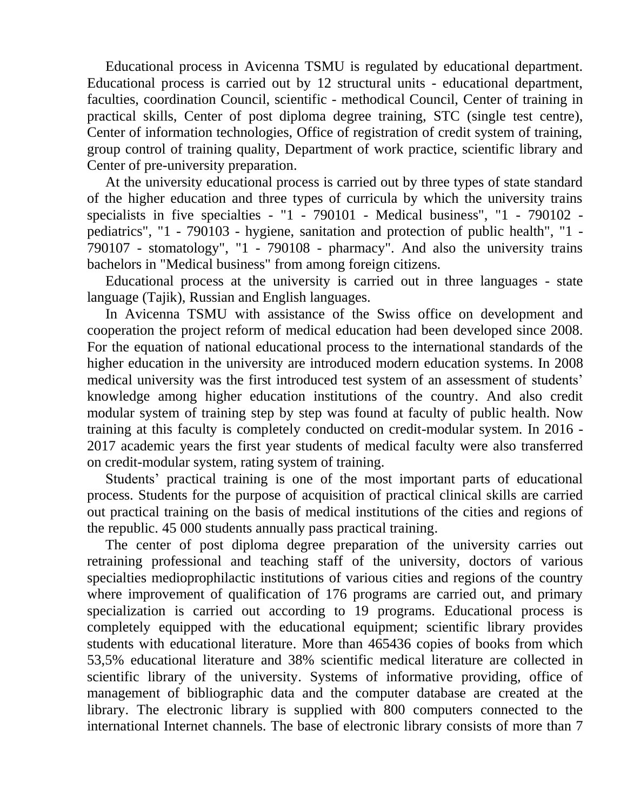Educational process in Avicenna TSMU is regulated by educational department. Educational process is carried out by 12 structural units - educational department, faculties, coordination Council, scientific - methodical Council, Center of training in practical skills, Center of post diploma degree training, STC (single test centre), Center of information technologies, Office of registration of credit system of training, group control of training quality, Department of work practice, scientific library and Center of pre-university preparation.

At the university educational process is carried out by three types of state standard of the higher education and three types of curricula by which the university trains specialists in five specialties - "1 - 790101 - Medical business", "1 - 790102 pediatrics", "1 - 790103 - hygiene, sanitation and protection of public health", "1 - 790107 - stomatology", "1 - 790108 - pharmacy". And also the university trains bachelors in "Medical business" from among foreign citizens.

Educational process at the university is carried out in three languages - state language (Tajik), Russian and English languages.

In Avicenna TSMU with assistance of the Swiss office on development and cooperation the project reform of medical education had been developed since 2008. For the equation of national educational process to the international standards of the higher education in the university are introduced modern education systems. In 2008 medical university was the first introduced test system of an assessment of students' knowledge among higher education institutions of the country. And also credit modular system of training step by step was found at faculty of public health. Now training at this faculty is completely conducted on credit-modular system. In 2016 - 2017 academic years the first year students of medical faculty were also transferred on credit-modular system, rating system of training.

Students' practical training is one of the most important parts of educational process. Students for the purpose of acquisition of practical clinical skills are carried out practical training on the basis of medical institutions of the cities and regions of the republic. 45 000 students annually pass practical training.

The center of post diploma degree preparation of the university carries out retraining professional and teaching staff of the university, doctors of various specialties medioprophilactic institutions of various cities and regions of the country where improvement of qualification of 176 programs are carried out, and primary specialization is carried out according to 19 programs. Educational process is completely equipped with the educational equipment; scientific library provides students with educational literature. More than 465436 copies of books from which 53,5% educational literature and 38% scientific medical literature are collected in scientific library of the university. Systems of informative providing, office of management of bibliographic data and the computer database are created at the library. The electronic library is supplied with 800 computers connected to the international Internet channels. The base of electronic library consists of more than 7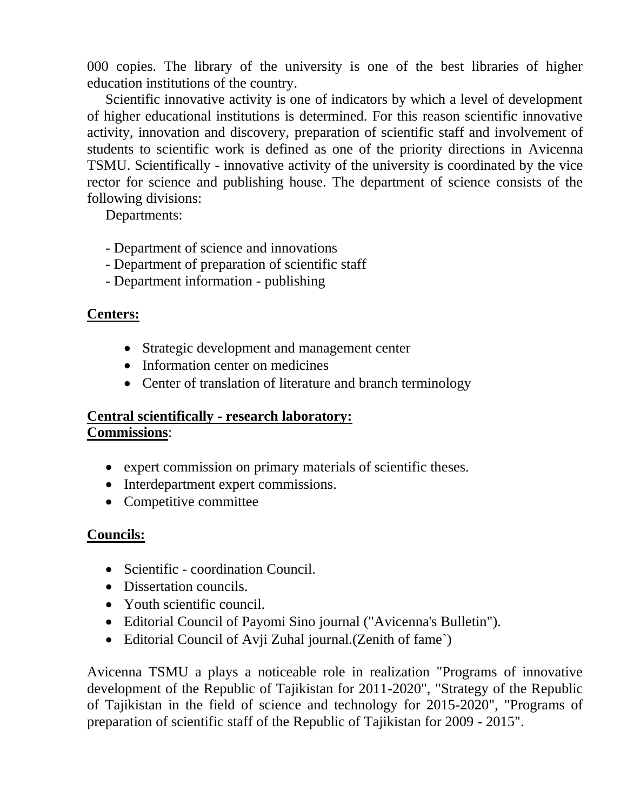000 copies. The library of the university is one of the best libraries of higher education institutions of the country.

Scientific innovative activity is one of indicators by which a level of development of higher educational institutions is determined. For this reason scientific innovative activity, innovation and discovery, preparation of scientific staff and involvement of students to scientific work is defined as one of the priority directions in Avicenna TSMU. Scientifically - innovative activity of the university is coordinated by the vice rector for science and publishing house. The department of science consists of the following divisions:

Departments:

- Department of science and innovations
- Department of preparation of scientific staff
- Department information publishing

### **Centers:**

- Strategic development and management center
- Information center on medicines
- Center of translation of literature and branch terminology

### **Central scientifically - research laboratory: Commissions**:

- expert commission on primary materials of scientific theses.
- Interdepartment expert commissions.
- Competitive committee

### **Councils:**

- Scientific coordination Council.
- Dissertation councils.
- Youth scientific council.
- Editorial Council of Payomi Sino journal ("Avicenna's Bulletin").
- Editorial Council of Avji Zuhal journal. (Zenith of fame)

Avicenna TSMU a plays a noticeable role in realization "Programs of innovative development of the Republic of Tajikistan for 2011-2020", "Strategy of the Republic of Tajikistan in the field of science and technology for 2015-2020", "Programs of preparation of scientific staff of the Republic of Tajikistan for 2009 - 2015".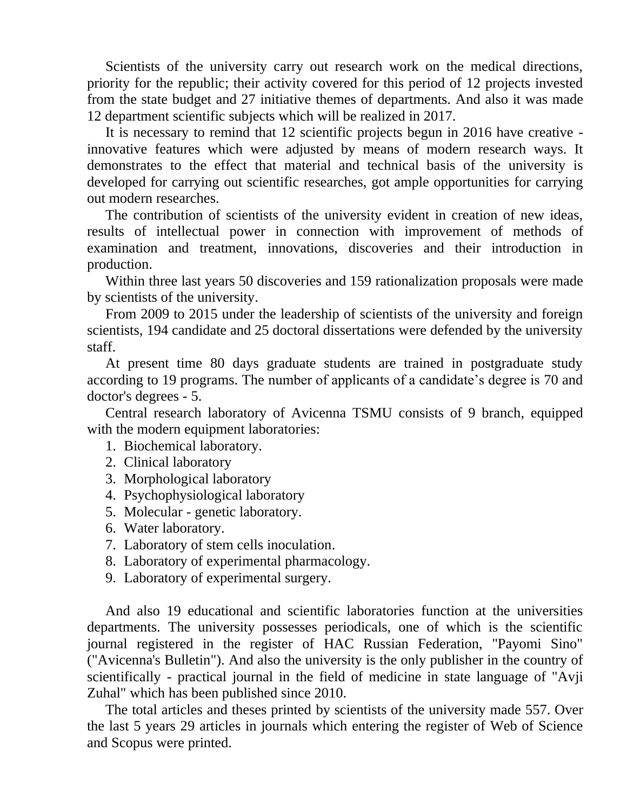Scientists of the university carry out research work on the medical directions, priority for the republic; their activity covered for this period of 12 projects invested from the state budget and 27 initiative themes of departments. And also it was made 12 department scientific subjects which will be realized in 2017.

It is necessary to remind that 12 scientific projects begun in 2016 have creative innovative features which were adjusted by means of modern research ways. It demonstrates to the effect that material and technical basis of the university is developed for carrying out scientific researches, got ample opportunities for carrying out modern researches.

The contribution of scientists of the university evident in creation of new ideas, results of intellectual power in connection with improvement of methods of examination and treatment, innovations, discoveries and their introduction in production.

Within three last years 50 discoveries and 159 rationalization proposals were made by scientists of the university.

From 2009 to 2015 under the leadership of scientists of the university and foreign scientists, 194 candidate and 25 doctoral dissertations were defended by the university staff.

At present time 80 days graduate students are trained in postgraduate study according to 19 programs. The number of applicants of a candidate's degree is 70 and doctor's degrees - 5.

Central research laboratory of Avicenna TSMU consists of 9 branch, equipped with the modern equipment laboratories:

- 1. Biochemical laboratory.
- 2. Clinical laboratory
- 3. Morphological laboratory
- 4. Psychophysiological laboratory
- 5. Molecular genetic laboratory.
- 6. Water laboratory.
- 7. Laboratory of stem cells inoculation.
- 8. Laboratory of experimental pharmacology.
- 9. Laboratory of experimental surgery.

And also 19 educational and scientific laboratories function at the universities departments. The university possesses periodicals, one of which is the scientific journal registered in the register of HAC Russian Federation, "Payomi Sino" ("Avicenna's Bulletin"). And also the university is the only publisher in the country of scientifically - practical journal in the field of medicine in state language of "Avji Zuhal" which has been published since 2010.

The total articles and theses printed by scientists of the university made 557. Over the last 5 years 29 articles in journals which entering the register of Web of Science and Scopus were printed.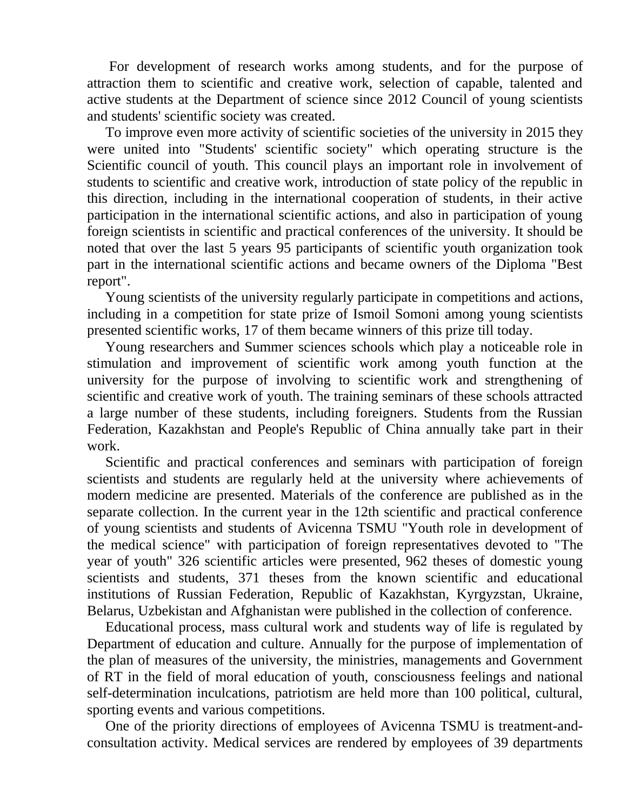For development of research works among students, and for the purpose of attraction them to scientific and creative work, selection of capable, talented and active students at the Department of science since 2012 Council of young scientists and students' scientific society was created.

To improve even more activity of scientific societies of the university in 2015 they were united into "Students' scientific society" which operating structure is the Scientific council of youth. This council plays an important role in involvement of students to scientific and creative work, introduction of state policy of the republic in this direction, including in the international cooperation of students, in their active participation in the international scientific actions, and also in participation of young foreign scientists in scientific and practical conferences of the university. It should be noted that over the last 5 years 95 participants of scientific youth organization took part in the international scientific actions and became owners of the Diploma "Best report".

Young scientists of the university regularly participate in competitions and actions, including in a competition for state prize of Ismoil Somoni among young scientists presented scientific works, 17 of them became winners of this prize till today.

Young researchers and Summer sciences schools which play a noticeable role in stimulation and improvement of scientific work among youth function at the university for the purpose of involving to scientific work and strengthening of scientific and creative work of youth. The training seminars of these schools attracted a large number of these students, including foreigners. Students from the Russian Federation, Kazakhstan and People's Republic of China annually take part in their work.

Scientific and practical conferences and seminars with participation of foreign scientists and students are regularly held at the university where achievements of modern medicine are presented. Materials of the conference are published as in the separate collection. In the current year in the 12th scientific and practical conference of young scientists and students of Avicenna TSMU "Youth role in development of the medical science" with participation of foreign representatives devoted to "The year of youth" 326 scientific articles were presented, 962 theses of domestic young scientists and students, 371 theses from the known scientific and educational institutions of Russian Federation, Republic of Kazakhstan, Kyrgyzstan, Ukraine, Belarus, Uzbekistan and Afghanistan were published in the collection of conference.

Educational process, mass cultural work and students way of life is regulated by Department of education and culture. Annually for the purpose of implementation of the plan of measures of the university, the ministries, managements and Government of RT in the field of moral education of youth, consciousness feelings and national self-determination inculcations, patriotism are held more than 100 political, cultural, sporting events and various competitions.

One of the priority directions of employees of Avicenna TSMU is treatment-andconsultation activity. Medical services are rendered by employees of 39 departments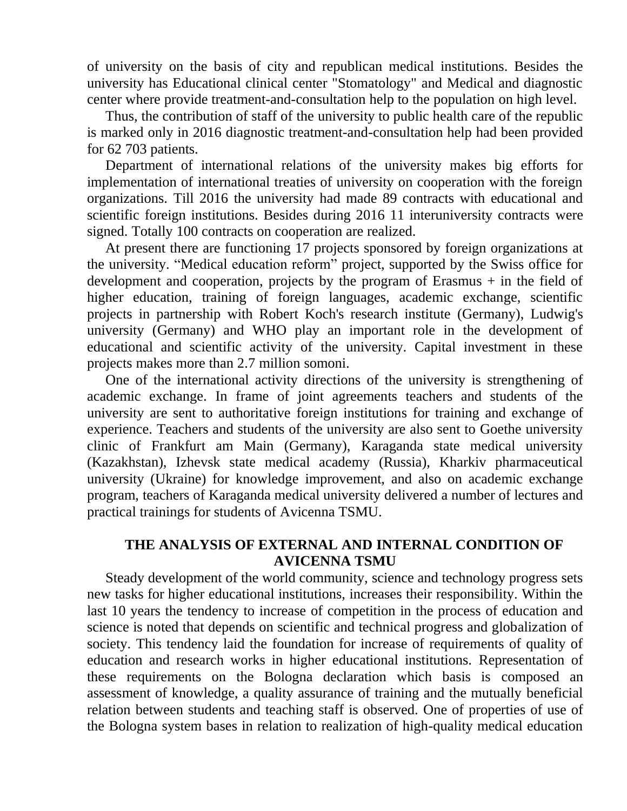of university on the basis of city and republican medical institutions. Besides the university has Educational clinical center "Stomatology" and Medical and diagnostic center where provide treatment-and-consultation help to the population on high level.

Thus, the contribution of staff of the university to public health care of the republic is marked only in 2016 diagnostic treatment-and-consultation help had been provided for 62 703 patients.

Department of international relations of the university makes big efforts for implementation of international treaties of university on cooperation with the foreign organizations. Till 2016 the university had made 89 contracts with educational and scientific foreign institutions. Besides during 2016 11 interuniversity contracts were signed. Totally 100 contracts on cooperation are realized.

At present there are functioning 17 projects sponsored by foreign organizations at the university. "Medical education reform" project, supported by the Swiss office for development and cooperation, projects by the program of Erasmus + in the field of higher education, training of foreign languages, academic exchange, scientific projects in partnership with Robert Koch's research institute (Germany), Ludwig's university (Germany) and WHO play an important role in the development of educational and scientific activity of the university. Capital investment in these projects makes more than 2.7 million somoni.

One of the international activity directions of the university is strengthening of academic exchange. In frame of joint agreements teachers and students of the university are sent to authoritative foreign institutions for training and exchange of experience. Teachers and students of the university are also sent to Goethe university clinic of Frankfurt am Main (Germany), Karaganda state medical university (Kazakhstan), Izhevsk state medical academy (Russia), Kharkiv pharmaceutical university (Ukraine) for knowledge improvement, and also on academic exchange program, teachers of Karaganda medical university delivered a number of lectures and practical trainings for students of Avicenna TSMU.

### **THE ANALYSIS OF EXTERNAL AND INTERNAL CONDITION OF AVICENNA TSMU**

Steady development of the world community, science and technology progress sets new tasks for higher educational institutions, increases their responsibility. Within the last 10 years the tendency to increase of competition in the process of education and science is noted that depends on scientific and technical progress and globalization of society. This tendency laid the foundation for increase of requirements of quality of education and research works in higher educational institutions. Representation of these requirements on the Bologna declaration which basis is composed an assessment of knowledge, a quality assurance of training and the mutually beneficial relation between students and teaching staff is observed. One of properties of use of the Bologna system bases in relation to realization of high-quality medical education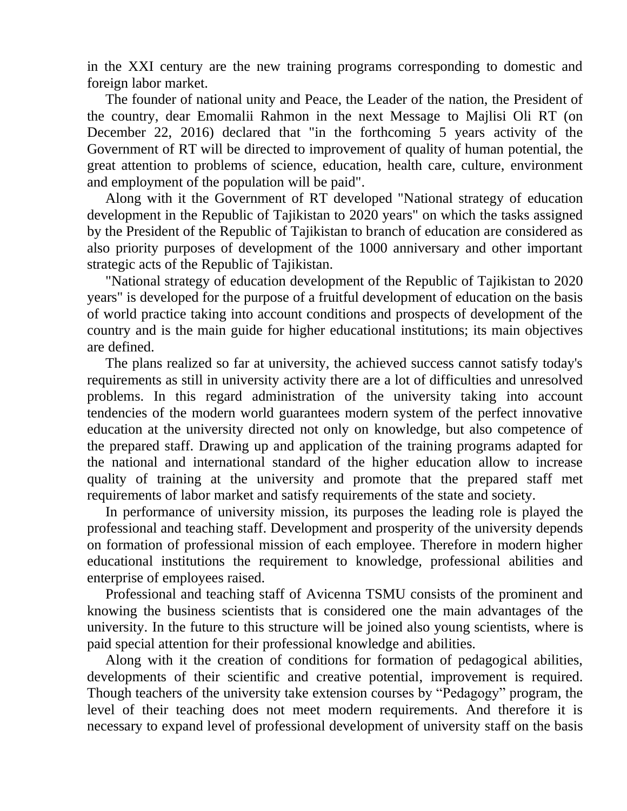in the XXI century are the new training programs corresponding to domestic and foreign labor market.

The founder of national unity and Peace, the Leader of the nation, the President of the country, dear Emomalii Rahmon in the next Message to Majlisi Oli RT (on December 22, 2016) declared that "in the forthcoming 5 years activity of the Government of RT will be directed to improvement of quality of human potential, the great attention to problems of science, education, health care, culture, environment and employment of the population will be paid".

Along with it the Government of RT developed "National strategy of education development in the Republic of Tajikistan to 2020 years" on which the tasks assigned by the President of the Republic of Tajikistan to branch of education are considered as also priority purposes of development of the 1000 anniversary and other important strategic acts of the Republic of Tajikistan.

"National strategy of education development of the Republic of Tajikistan to 2020 years" is developed for the purpose of a fruitful development of education on the basis of world practice taking into account conditions and prospects of development of the country and is the main guide for higher educational institutions; its main objectives are defined.

The plans realized so far at university, the achieved success cannot satisfy today's requirements as still in university activity there are a lot of difficulties and unresolved problems. In this regard administration of the university taking into account tendencies of the modern world guarantees modern system of the perfect innovative education at the university directed not only on knowledge, but also competence of the prepared staff. Drawing up and application of the training programs adapted for the national and international standard of the higher education allow to increase quality of training at the university and promote that the prepared staff met requirements of labor market and satisfy requirements of the state and society.

In performance of university mission, its purposes the leading role is played the professional and teaching staff. Development and prosperity of the university depends on formation of professional mission of each employee. Therefore in modern higher educational institutions the requirement to knowledge, professional abilities and enterprise of employees raised.

Professional and teaching staff of Avicenna TSMU consists of the prominent and knowing the business scientists that is considered one the main advantages of the university. In the future to this structure will be joined also young scientists, where is paid special attention for their professional knowledge and abilities.

Along with it the creation of conditions for formation of pedagogical abilities, developments of their scientific and creative potential, improvement is required. Though teachers of the university take extension courses by "Pedagogy" program, the level of their teaching does not meet modern requirements. And therefore it is necessary to expand level of professional development of university staff on the basis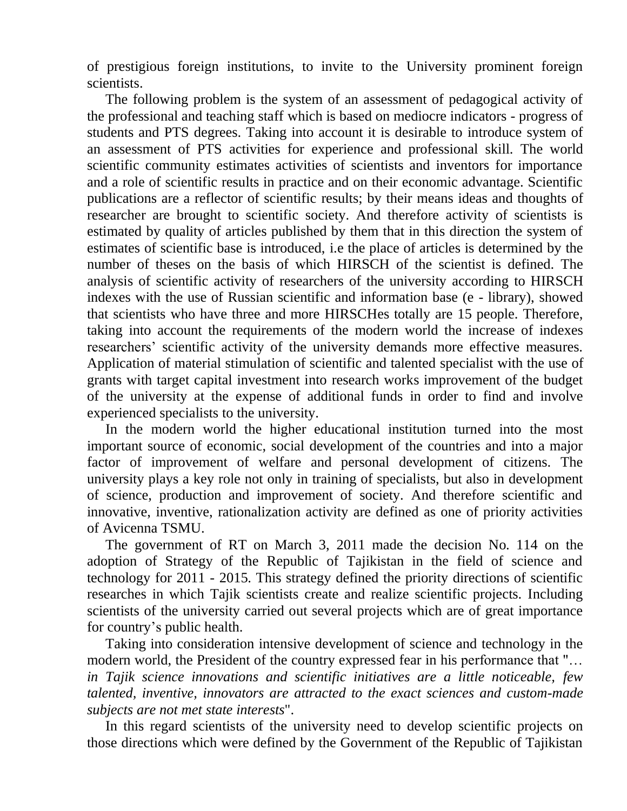of prestigious foreign institutions, to invite to the University prominent foreign scientists.

The following problem is the system of an assessment of pedagogical activity of the professional and teaching staff which is based on mediocre indicators - progress of students and PTS degrees. Taking into account it is desirable to introduce system of an assessment of PTS activities for experience and professional skill. The world scientific community estimates activities of scientists and inventors for importance and a role of scientific results in practice and on their economic advantage. Scientific publications are a reflector of scientific results; by their means ideas and thoughts of researcher are brought to scientific society. And therefore activity of scientists is estimated by quality of articles published by them that in this direction the system of estimates of scientific base is introduced, i.e the place of articles is determined by the number of theses on the basis of which HIRSCH of the scientist is defined. The analysis of scientific activity of researchers of the university according to HIRSCH indexes with the use of Russian scientific and information base (e - library), showed that scientists who have three and more HIRSCHes totally are 15 people. Therefore, taking into account the requirements of the modern world the increase of indexes researchers' scientific activity of the university demands more effective measures. Application of material stimulation of scientific and talented specialist with the use of grants with target capital investment into research works improvement of the budget of the university at the expense of additional funds in order to find and involve experienced specialists to the university.

In the modern world the higher educational institution turned into the most important source of economic, social development of the countries and into a major factor of improvement of welfare and personal development of citizens. The university plays a key role not only in training of specialists, but also in development of science, production and improvement of society. And therefore scientific and innovative, inventive, rationalization activity are defined as one of priority activities of Avicenna TSMU.

The government of RT on March 3, 2011 made the decision No. 114 on the adoption of Strategy of the Republic of Tajikistan in the field of science and technology for 2011 - 2015. This strategy defined the priority directions of scientific researches in which Tajik scientists create and realize scientific projects. Including scientists of the university carried out several projects which are of great importance for country's public health.

Taking into consideration intensive development of science and technology in the modern world, the President of the country expressed fear in his performance that "… *in Tajik science innovations and scientific initiatives are a little noticeable, few talented, inventive, innovators are attracted to the exact sciences and custom-made subjects are not met state interests*".

In this regard scientists of the university need to develop scientific projects on those directions which were defined by the Government of the Republic of Tajikistan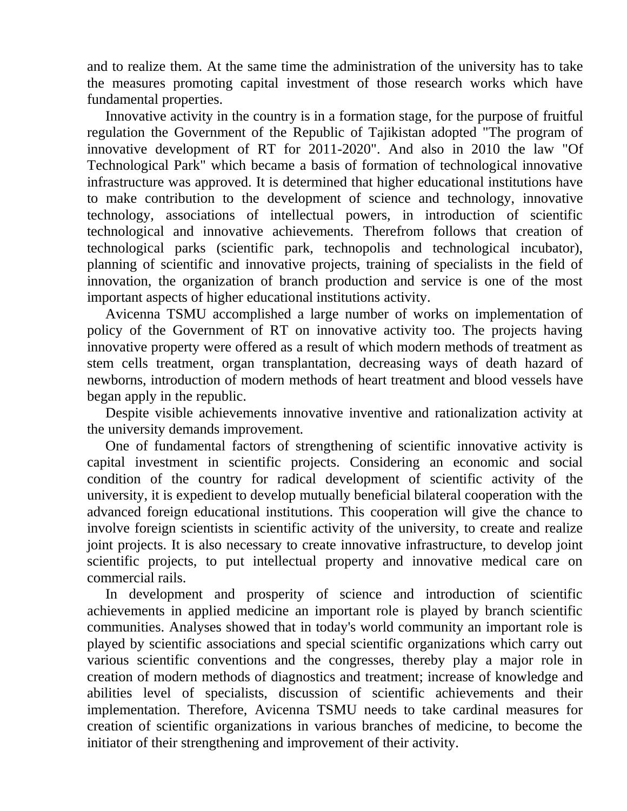and to realize them. At the same time the administration of the university has to take the measures promoting capital investment of those research works which have fundamental properties.

Innovative activity in the country is in a formation stage, for the purpose of fruitful regulation the Government of the Republic of Tajikistan adopted "The program of innovative development of RT for 2011-2020". And also in 2010 the law "Of Technological Park" which became a basis of formation of technological innovative infrastructure was approved. It is determined that higher educational institutions have to make contribution to the development of science and technology, innovative technology, associations of intellectual powers, in introduction of scientific technological and innovative achievements. Therefrom follows that creation of technological parks (scientific park, technopolis and technological incubator), planning of scientific and innovative projects, training of specialists in the field of innovation, the organization of branch production and service is one of the most important aspects of higher educational institutions activity.

Avicenna TSMU accomplished a large number of works on implementation of policy of the Government of RT on innovative activity too. The projects having innovative property were offered as a result of which modern methods of treatment as stem cells treatment, organ transplantation, decreasing ways of death hazard of newborns, introduction of modern methods of heart treatment and blood vessels have began apply in the republic.

Despite visible achievements innovative inventive and rationalization activity at the university demands improvement.

One of fundamental factors of strengthening of scientific innovative activity is capital investment in scientific projects. Considering an economic and social condition of the country for radical development of scientific activity of the university, it is expedient to develop mutually beneficial bilateral cooperation with the advanced foreign educational institutions. This cooperation will give the chance to involve foreign scientists in scientific activity of the university, to create and realize joint projects. It is also necessary to create innovative infrastructure, to develop joint scientific projects, to put intellectual property and innovative medical care on commercial rails.

In development and prosperity of science and introduction of scientific achievements in applied medicine an important role is played by branch scientific communities. Analyses showed that in today's world community an important role is played by scientific associations and special scientific organizations which carry out various scientific conventions and the congresses, thereby play a major role in creation of modern methods of diagnostics and treatment; increase of knowledge and abilities level of specialists, discussion of scientific achievements and their implementation. Therefore, Avicenna TSMU needs to take cardinal measures for creation of scientific organizations in various branches of medicine, to become the initiator of their strengthening and improvement of their activity.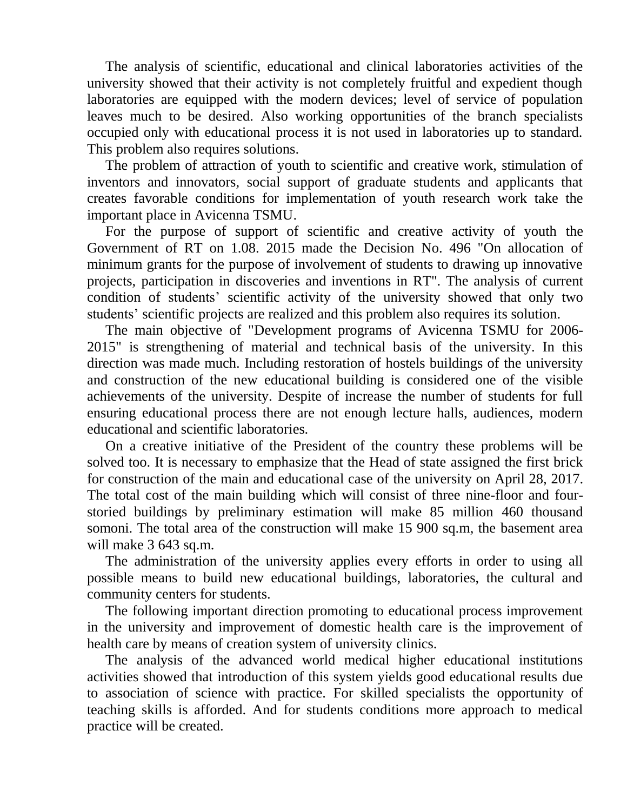The analysis of scientific, educational and clinical laboratories activities of the university showed that their activity is not completely fruitful and expedient though laboratories are equipped with the modern devices; level of service of population leaves much to be desired. Also working opportunities of the branch specialists occupied only with educational process it is not used in laboratories up to standard. This problem also requires solutions.

The problem of attraction of youth to scientific and creative work, stimulation of inventors and innovators, social support of graduate students and applicants that creates favorable conditions for implementation of youth research work take the important place in Avicenna TSMU.

For the purpose of support of scientific and creative activity of youth the Government of RT on 1.08. 2015 made the Decision No. 496 "On allocation of minimum grants for the purpose of involvement of students to drawing up innovative projects, participation in discoveries and inventions in RT". The analysis of current condition of students' scientific activity of the university showed that only two students' scientific projects are realized and this problem also requires its solution.

The main objective of "Development programs of Avicenna TSMU for 2006- 2015" is strengthening of material and technical basis of the university. In this direction was made much. Including restoration of hostels buildings of the university and construction of the new educational building is considered one of the visible achievements of the university. Despite of increase the number of students for full ensuring educational process there are not enough lecture halls, audiences, modern educational and scientific laboratories.

On a creative initiative of the President of the country these problems will be solved too. It is necessary to emphasize that the Head of state assigned the first brick for construction of the main and educational case of the university on April 28, 2017. The total cost of the main building which will consist of three nine-floor and fourstoried buildings by preliminary estimation will make 85 million 460 thousand somoni. The total area of the construction will make 15 900 sq.m, the basement area will make 3 643 sq.m.

The administration of the university applies every efforts in order to using all possible means to build new educational buildings, laboratories, the cultural and community centers for students.

The following important direction promoting to educational process improvement in the university and improvement of domestic health care is the improvement of health care by means of creation system of university clinics.

The analysis of the advanced world medical higher educational institutions activities showed that introduction of this system yields good educational results due to association of science with practice. For skilled specialists the opportunity of teaching skills is afforded. And for students conditions more approach to medical practice will be created.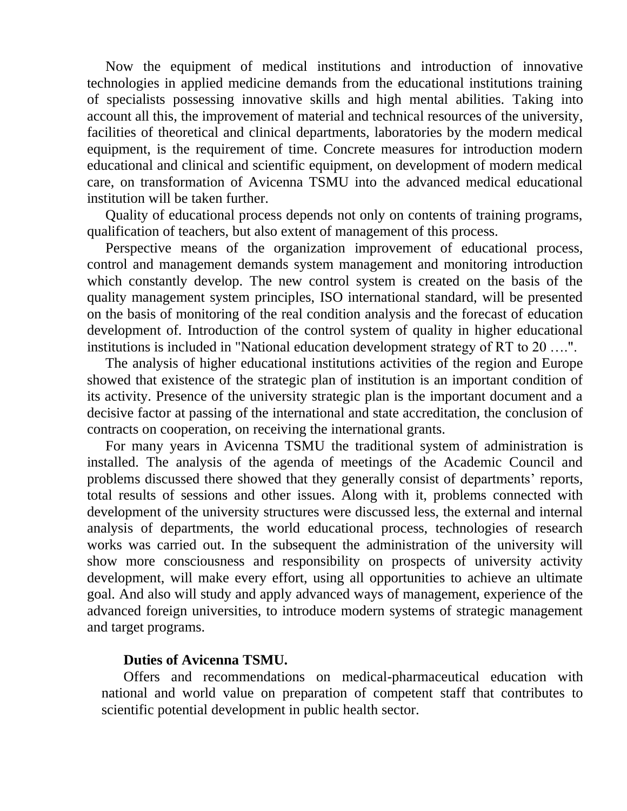Now the equipment of medical institutions and introduction of innovative technologies in applied medicine demands from the educational institutions training of specialists possessing innovative skills and high mental abilities. Taking into account all this, the improvement of material and technical resources of the university, facilities of theoretical and clinical departments, laboratories by the modern medical equipment, is the requirement of time. Concrete measures for introduction modern educational and clinical and scientific equipment, on development of modern medical care, on transformation of Avicenna TSMU into the advanced medical educational institution will be taken further.

Quality of educational process depends not only on contents of training programs, qualification of teachers, but also extent of management of this process.

Perspective means of the organization improvement of educational process, control and management demands system management and monitoring introduction which constantly develop. The new control system is created on the basis of the quality management system principles, ISO international standard, will be presented on the basis of monitoring of the real condition analysis and the forecast of education development of. Introduction of the control system of quality in higher educational institutions is included in "National education development strategy of RT to 20 ….".

The analysis of higher educational institutions activities of the region and Europe showed that existence of the strategic plan of institution is an important condition of its activity. Presence of the university strategic plan is the important document and a decisive factor at passing of the international and state accreditation, the conclusion of contracts on cooperation, on receiving the international grants.

For many years in Avicenna TSMU the traditional system of administration is installed. The analysis of the agenda of meetings of the Academic Council and problems discussed there showed that they generally consist of departments' reports, total results of sessions and other issues. Along with it, problems connected with development of the university structures were discussed less, the external and internal analysis of departments, the world educational process, technologies of research works was carried out. In the subsequent the administration of the university will show more consciousness and responsibility on prospects of university activity development, will make every effort, using all opportunities to achieve an ultimate goal. And also will study and apply advanced ways of management, experience of the advanced foreign universities, to introduce modern systems of strategic management and target programs.

#### **Duties of Avicenna TSMU.**

Offers and recommendations on medical-pharmaceutical education with national and world value on preparation of competent staff that contributes to scientific potential development in public health sector.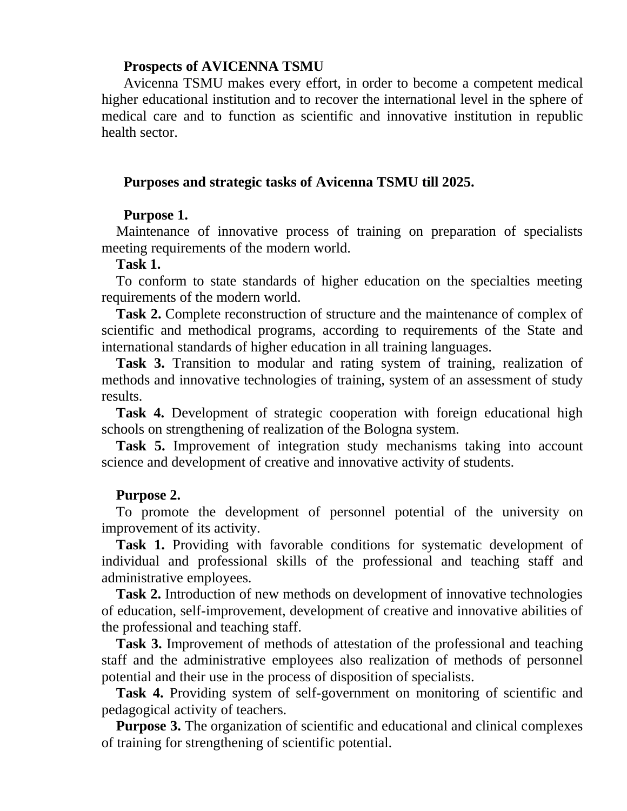#### **Prospects of AVICENNA TSMU**

Avicenna TSMU makes every effort, in order to become a competent medical higher educational institution and to recover the international level in the sphere of medical care and to function as scientific and innovative institution in republic health sector.

#### **Purposes and strategic tasks of Avicenna TSMU till 2025.**

#### **Purpose 1.**

Maintenance of innovative process of training on preparation of specialists meeting requirements of the modern world.

#### **Task 1.**

To conform to state standards of higher education on the specialties meeting requirements of the modern world.

**Task 2.** Complete reconstruction of structure and the maintenance of complex of scientific and methodical programs, according to requirements of the State and international standards of higher education in all training languages.

**Task 3.** Transition to modular and rating system of training, realization of methods and innovative technologies of training, system of an assessment of study results.

**Task 4.** Development of strategic cooperation with foreign educational high schools on strengthening of realization of the Bologna system.

**Task 5.** Improvement of integration study mechanisms taking into account science and development of creative and innovative activity of students.

#### **Purpose 2.**

To promote the development of personnel potential of the university on improvement of its activity.

**Task 1.** Providing with favorable conditions for systematic development of individual and professional skills of the professional and teaching staff and administrative employees.

**Task 2.** Introduction of new methods on development of innovative technologies of education, self-improvement, development of creative and innovative abilities of the professional and teaching staff.

**Task 3.** Improvement of methods of attestation of the professional and teaching staff and the administrative employees also realization of methods of personnel potential and their use in the process of disposition of specialists.

**Task 4.** Providing system of self-government on monitoring of scientific and pedagogical activity of teachers.

**Purpose 3.** The organization of scientific and educational and clinical complexes of training for strengthening of scientific potential.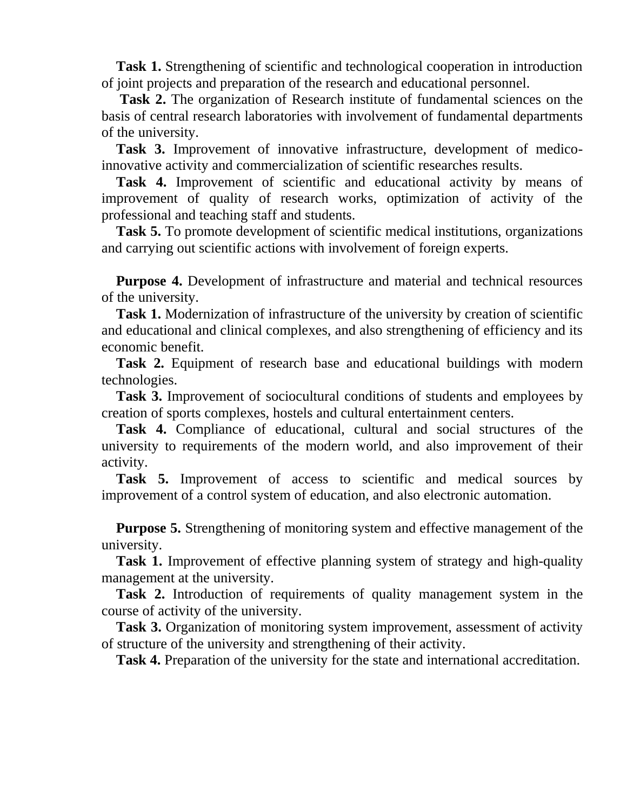**Task 1.** Strengthening of scientific and technological cooperation in introduction of joint projects and preparation of the research and educational personnel.

**Task 2.** The organization of Research institute of fundamental sciences on the basis of central research laboratories with involvement of fundamental departments of the university.

**Task 3.** Improvement of innovative infrastructure, development of medicoinnovative activity and commercialization of scientific researches results.

**Task 4.** Improvement of scientific and educational activity by means of improvement of quality of research works, optimization of activity of the professional and teaching staff and students.

**Task 5.** To promote development of scientific medical institutions, organizations and carrying out scientific actions with involvement of foreign experts.

**Purpose 4.** Development of infrastructure and material and technical resources of the university.

**Task 1.** Modernization of infrastructure of the university by creation of scientific and educational and clinical complexes, and also strengthening of efficiency and its economic benefit.

**Task 2.** Equipment of research base and educational buildings with modern technologies.

**Task 3.** Improvement of sociocultural conditions of students and employees by creation of sports complexes, hostels and cultural entertainment centers.

**Task 4.** Compliance of educational, cultural and social structures of the university to requirements of the modern world, and also improvement of their activity.

**Task 5.** Improvement of access to scientific and medical sources by improvement of a control system of education, and also electronic automation.

**Purpose 5.** Strengthening of monitoring system and effective management of the university.

**Task 1.** Improvement of effective planning system of strategy and high-quality management at the university.

**Task 2.** Introduction of requirements of quality management system in the course of activity of the university.

**Task 3.** Organization of monitoring system improvement, assessment of activity of structure of the university and strengthening of their activity.

**Task 4.** Preparation of the university for the state and international accreditation.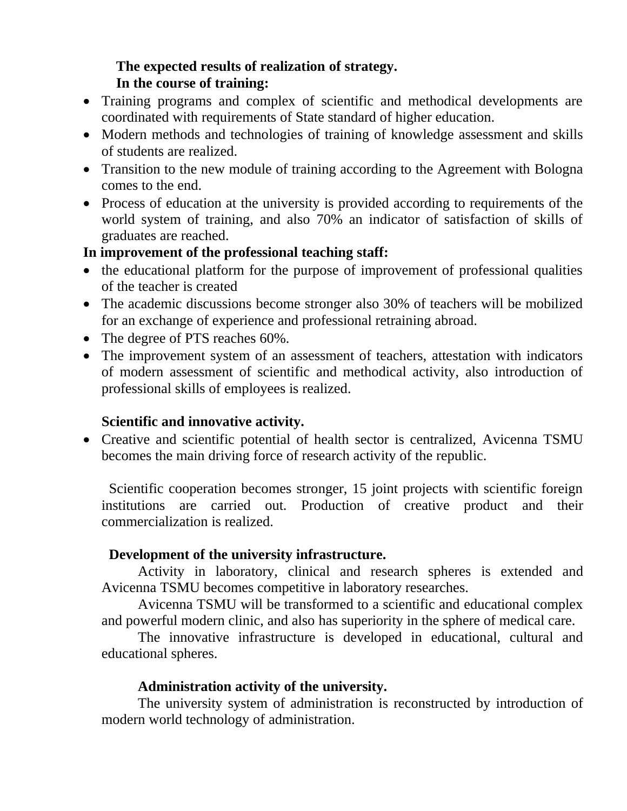# **The expected results of realization of strategy. In the course of training:**

- Training programs and complex of scientific and methodical developments are coordinated with requirements of State standard of higher education.
- Modern methods and technologies of training of knowledge assessment and skills of students are realized.
- Transition to the new module of training according to the Agreement with Bologna comes to the end.
- Process of education at the university is provided according to requirements of the world system of training, and also 70% an indicator of satisfaction of skills of graduates are reached.

### **In improvement of the professional teaching staff:**

- the educational platform for the purpose of improvement of professional qualities of the teacher is created
- The academic discussions become stronger also 30% of teachers will be mobilized for an exchange of experience and professional retraining abroad.
- The degree of PTS reaches 60%.
- The improvement system of an assessment of teachers, attestation with indicators of modern assessment of scientific and methodical activity, also introduction of professional skills of employees is realized.

# **Scientific and innovative activity.**

• Creative and scientific potential of health sector is centralized, Avicenna TSMU becomes the main driving force of research activity of the republic.

Scientific cooperation becomes stronger, 15 joint projects with scientific foreign institutions are carried out. Production of creative product and their commercialization is realized.

### **Development of the university infrastructure.**

Activity in laboratory, clinical and research spheres is extended and Avicenna TSMU becomes competitive in laboratory researches.

Avicenna TSMU will be transformed to a scientific and educational complex and powerful modern clinic, and also has superiority in the sphere of medical care.

The innovative infrastructure is developed in educational, cultural and educational spheres.

### **Administration activity of the university.**

The university system of administration is reconstructed by introduction of modern world technology of administration.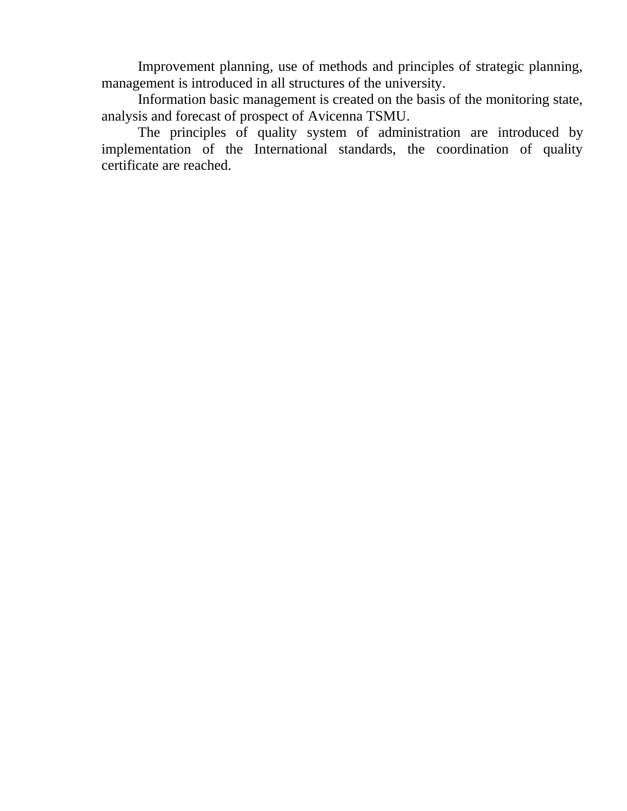Improvement planning, use of methods and principles of strategic planning, management is introduced in all structures of the university.

Information basic management is created on the basis of the monitoring state, analysis and forecast of prospect of Avicenna TSMU.

The principles of quality system of administration are introduced by implementation of the International standards, the coordination of quality certificate are reached.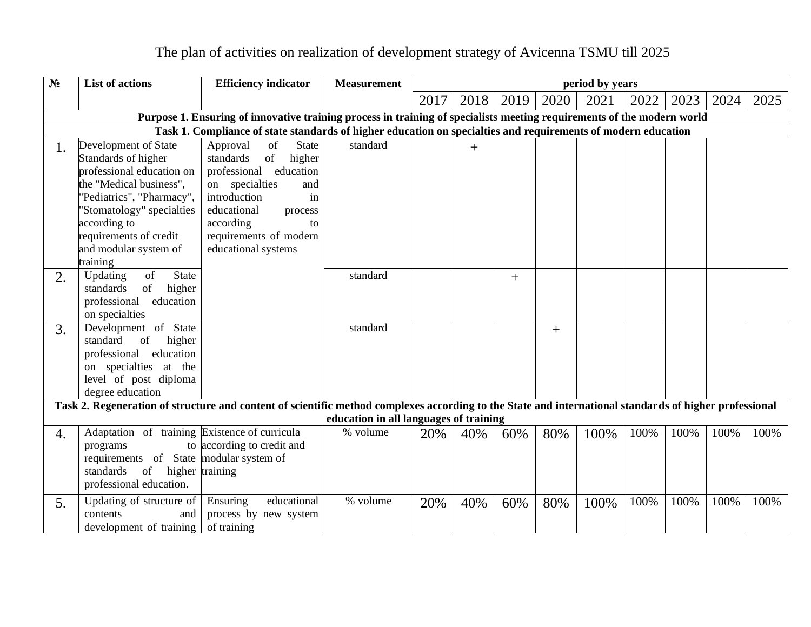| $N_2$ | <b>List of actions</b>                                                                                                                                                        | <b>Efficiency indicator</b>                                                                                                                                                       | <b>Measurement</b>                     | period by years |      |        |        |      |      |      |      |      |
|-------|-------------------------------------------------------------------------------------------------------------------------------------------------------------------------------|-----------------------------------------------------------------------------------------------------------------------------------------------------------------------------------|----------------------------------------|-----------------|------|--------|--------|------|------|------|------|------|
|       |                                                                                                                                                                               |                                                                                                                                                                                   |                                        | 2017            | 2018 | 2019   | 2020   | 2021 | 2022 | 2023 | 2024 | 2025 |
|       |                                                                                                                                                                               | Purpose 1. Ensuring of innovative training process in training of specialists meeting requirements of the modern world                                                            |                                        |                 |      |        |        |      |      |      |      |      |
|       |                                                                                                                                                                               | Task 1. Compliance of state standards of higher education on specialties and requirements of modern education                                                                     |                                        |                 |      |        |        |      |      |      |      |      |
| 1.    | Development of State<br>Standards of higher<br>professional education on<br>the "Medical business",<br>'Pediatrics", "Pharmacy",<br>'Stomatology" specialties<br>according to | Approval<br>of<br><b>State</b><br>standards<br>of<br>higher<br>professional education<br>on specialties<br>and<br>introduction<br>in<br>educational<br>process<br>according<br>to | standard                               |                 | $+$  |        |        |      |      |      |      |      |
|       | requirements of credit<br>and modular system of<br>training                                                                                                                   | requirements of modern<br>educational systems                                                                                                                                     |                                        |                 |      |        |        |      |      |      |      |      |
| 2.    | of<br>State<br>Updating<br>higher<br>standards<br>of<br>professional education<br>on specialties                                                                              |                                                                                                                                                                                   | standard                               |                 |      | $^{+}$ |        |      |      |      |      |      |
| 3.    | Development of State<br>of<br>standard<br>higher<br>professional education<br>on specialties at the<br>level of post diploma<br>degree education                              |                                                                                                                                                                                   | standard                               |                 |      |        | $^{+}$ |      |      |      |      |      |
|       |                                                                                                                                                                               | Task 2. Regeneration of structure and content of scientific method complexes according to the State and international standards of higher professional                            |                                        |                 |      |        |        |      |      |      |      |      |
|       |                                                                                                                                                                               |                                                                                                                                                                                   | education in all languages of training |                 |      |        |        |      |      |      |      |      |
| 4.    | Adaptation of training Existence of curricula<br>programs<br>requirements of State modular system of<br>standards<br>of<br>higher training<br>professional education.         | to according to credit and                                                                                                                                                        | % volume                               | 20%             | 40%  | 60%    | 80%    | 100% | 100% | 100% | 100% | 100% |
| 5.    | Updating of structure of<br>contents<br>and<br>development of training                                                                                                        | educational<br>Ensuring<br>process by new system<br>of training                                                                                                                   | % volume                               | 20%             | 40%  | 60%    | 80%    | 100% | 100% | 100% | 100% | 100% |

# The plan of activities on realization of development strategy of Avicenna TSMU till 2025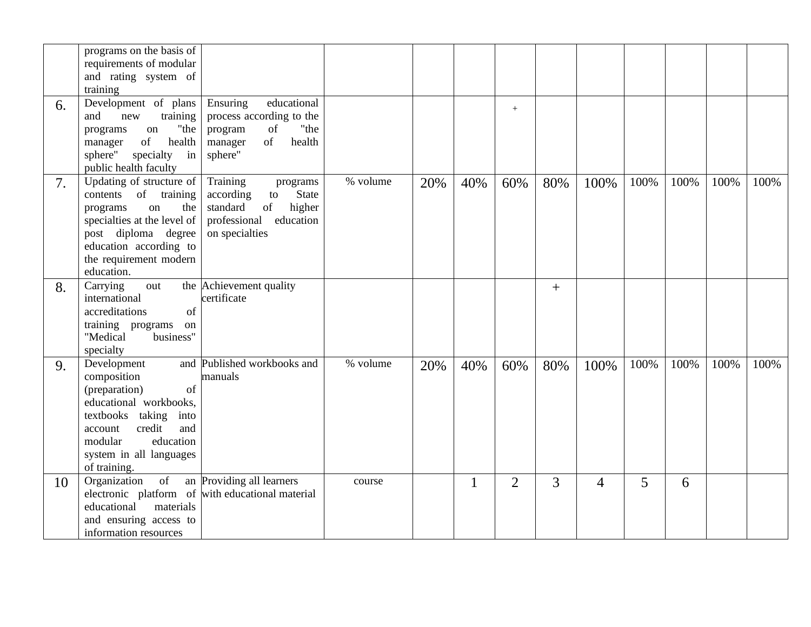|    | programs on the basis of<br>requirements of modular<br>and rating system of<br>training                                                                                                                       |                                                                                                                                    |          |     |              |                |     |      |      |      |      |      |
|----|---------------------------------------------------------------------------------------------------------------------------------------------------------------------------------------------------------------|------------------------------------------------------------------------------------------------------------------------------------|----------|-----|--------------|----------------|-----|------|------|------|------|------|
| 6. | Development of plans<br>training<br>and<br>new<br>"the<br>programs<br>on<br>of<br>health<br>manager<br>specialty<br>sphere"<br>in<br>public health faculty                                                    | educational<br>Ensuring<br>process according to the<br>"the<br>of<br>program<br>of<br>health<br>manager<br>sphere"                 |          |     |              | $^{+}$         |     |      |      |      |      |      |
| 7. | Updating of structure of<br>contents<br>of training<br>the<br>on<br>programs<br>specialties at the level of<br>post diploma degree<br>education according to<br>the requirement modern<br>education.          | Training<br>programs<br><b>State</b><br>according<br>to<br>standard<br>higher<br>of<br>professional<br>education<br>on specialties | % volume | 20% | 40%          | 60%            | 80% | 100% | 100% | 100% | 100% | 100% |
| 8. | Carrying<br>out<br>international<br>of<br>accreditations<br>training programs<br>on<br>"Medical<br>business"<br>specialty                                                                                     | the Achievement quality<br>certificate                                                                                             |          |     |              |                | $+$ |      |      |      |      |      |
| 9. | Development<br>and<br>composition<br>(preparation)<br>of<br>educational workbooks,<br>textbooks taking<br>into<br>credit<br>and<br>account<br>modular<br>education<br>system in all languages<br>of training. | Published workbooks and<br>manuals                                                                                                 | % volume | 20% | 40%          | 60%            | 80% | 100% | 100% | 100% | 100% | 100% |
| 10 | $\overline{\text{of}}$<br>Organization<br>materials<br>educational<br>and ensuring access to<br>information resources                                                                                         | an Providing all learners<br>electronic platform of with educational material                                                      | course   |     | $\mathbf{1}$ | $\overline{2}$ | 3   | 4    | 5    | 6    |      |      |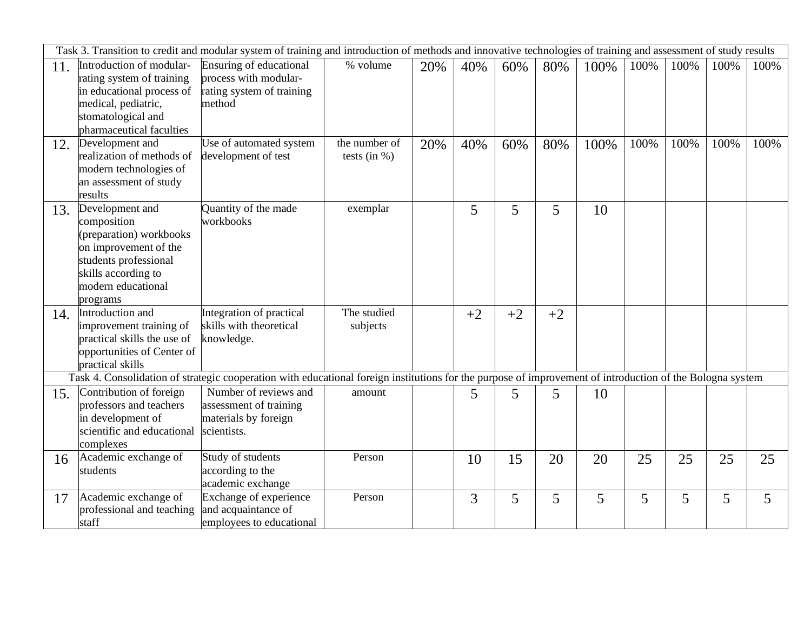|     |                                   | Task 3. Transition to credit and modular system of training and introduction of methods and innovative technologies of training and assessment of study results |                 |     |      |      |      |      |      |      |      |      |
|-----|-----------------------------------|-----------------------------------------------------------------------------------------------------------------------------------------------------------------|-----------------|-----|------|------|------|------|------|------|------|------|
| 11. | Introduction of modular-          | Ensuring of educational                                                                                                                                         | % volume        | 20% | 40%  | 60%  | 80%  | 100% | 100% | 100% | 100% | 100% |
|     | rating system of training         | process with modular-                                                                                                                                           |                 |     |      |      |      |      |      |      |      |      |
|     | in educational process of         | rating system of training                                                                                                                                       |                 |     |      |      |      |      |      |      |      |      |
|     | medical, pediatric,               | method                                                                                                                                                          |                 |     |      |      |      |      |      |      |      |      |
|     | stomatological and                |                                                                                                                                                                 |                 |     |      |      |      |      |      |      |      |      |
|     | pharmaceutical faculties          |                                                                                                                                                                 |                 |     |      |      |      |      |      |      |      |      |
| 12. | Development and                   | Use of automated system                                                                                                                                         | the number of   | 20% | 40%  | 60%  | 80%  | 100% | 100% | 100% | 100% | 100% |
|     | realization of methods of         | development of test                                                                                                                                             | tests (in $%$ ) |     |      |      |      |      |      |      |      |      |
|     | modern technologies of            |                                                                                                                                                                 |                 |     |      |      |      |      |      |      |      |      |
|     | an assessment of study<br>results |                                                                                                                                                                 |                 |     |      |      |      |      |      |      |      |      |
|     | Development and                   | Quantity of the made                                                                                                                                            | exemplar        |     | 5    |      |      |      |      |      |      |      |
| 13. | composition                       | workbooks                                                                                                                                                       |                 |     |      | 5    | 5    | 10   |      |      |      |      |
|     | (preparation) workbooks           |                                                                                                                                                                 |                 |     |      |      |      |      |      |      |      |      |
|     | on improvement of the             |                                                                                                                                                                 |                 |     |      |      |      |      |      |      |      |      |
|     | students professional             |                                                                                                                                                                 |                 |     |      |      |      |      |      |      |      |      |
|     | skills according to               |                                                                                                                                                                 |                 |     |      |      |      |      |      |      |      |      |
|     | modern educational                |                                                                                                                                                                 |                 |     |      |      |      |      |      |      |      |      |
|     | programs                          |                                                                                                                                                                 |                 |     |      |      |      |      |      |      |      |      |
| 14. | Introduction and                  | Integration of practical                                                                                                                                        | The studied     |     | $+2$ | $+2$ | $+2$ |      |      |      |      |      |
|     | improvement training of           | skills with theoretical                                                                                                                                         | subjects        |     |      |      |      |      |      |      |      |      |
|     | practical skills the use of       | knowledge.                                                                                                                                                      |                 |     |      |      |      |      |      |      |      |      |
|     | opportunities of Center of        |                                                                                                                                                                 |                 |     |      |      |      |      |      |      |      |      |
|     | practical skills                  |                                                                                                                                                                 |                 |     |      |      |      |      |      |      |      |      |
|     |                                   | Task 4. Consolidation of strategic cooperation with educational foreign institutions for the purpose of improvement of introduction of the Bologna system       |                 |     |      |      |      |      |      |      |      |      |
| 15. | Contribution of foreign           | Number of reviews and                                                                                                                                           | amount          |     | 5    | 5    | 5    | 10   |      |      |      |      |
|     | professors and teachers           | assessment of training                                                                                                                                          |                 |     |      |      |      |      |      |      |      |      |
|     | in development of                 | materials by foreign                                                                                                                                            |                 |     |      |      |      |      |      |      |      |      |
|     | scientific and educational        | scientists.                                                                                                                                                     |                 |     |      |      |      |      |      |      |      |      |
|     | complexes                         |                                                                                                                                                                 |                 |     |      |      |      |      |      |      |      |      |
| 16  | Academic exchange of              | Study of students                                                                                                                                               | Person          |     | 10   | 15   | 20   | 20   | 25   | 25   | 25   | 25   |
|     | students                          | according to the<br>academic exchange                                                                                                                           |                 |     |      |      |      |      |      |      |      |      |
|     | Academic exchange of              | Exchange of experience                                                                                                                                          | Person          |     | 3    | 5    | 5    | 5    | 5    | 5    |      | 5    |
| 17  | professional and teaching         | and acquaintance of                                                                                                                                             |                 |     |      |      |      |      |      |      | 5    |      |
|     | staff                             | employees to educational                                                                                                                                        |                 |     |      |      |      |      |      |      |      |      |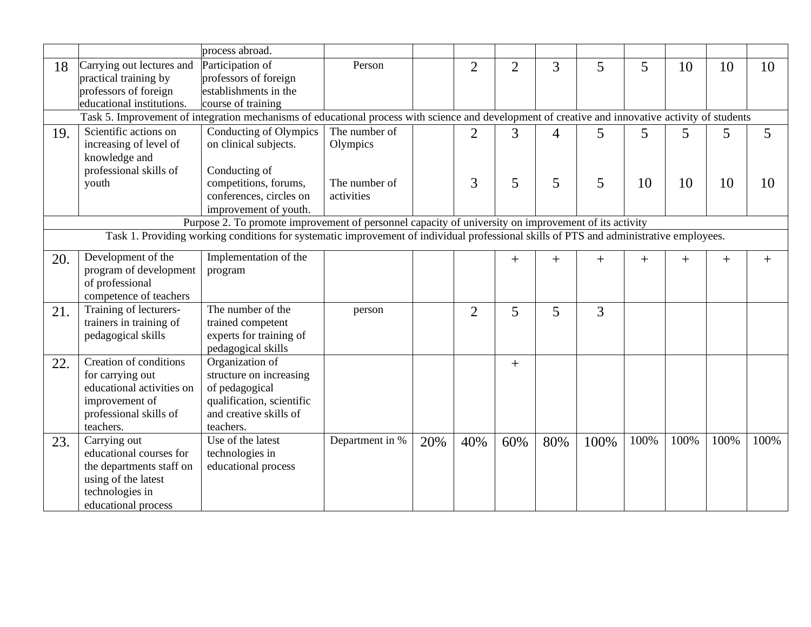|     |                           | process abroad.                                                                                                                                   |                 |     |                |                |                |                |        |      |        |        |
|-----|---------------------------|---------------------------------------------------------------------------------------------------------------------------------------------------|-----------------|-----|----------------|----------------|----------------|----------------|--------|------|--------|--------|
| 18  | Carrying out lectures and | Participation of                                                                                                                                  | Person          |     | $\overline{2}$ | $\overline{2}$ | $\overline{3}$ | 5              | 5      | 10   | 10     | 10     |
|     | practical training by     | professors of foreign                                                                                                                             |                 |     |                |                |                |                |        |      |        |        |
|     | professors of foreign     | establishments in the                                                                                                                             |                 |     |                |                |                |                |        |      |        |        |
|     | educational institutions. | course of training                                                                                                                                |                 |     |                |                |                |                |        |      |        |        |
|     |                           | Task 5. Improvement of integration mechanisms of educational process with science and development of creative and innovative activity of students |                 |     |                |                |                |                |        |      |        |        |
| 19. | Scientific actions on     | Conducting of Olympics                                                                                                                            | The number of   |     | $\overline{2}$ | 3              | $\overline{4}$ | 5              | 5      | 5    | 5      | 5      |
|     | increasing of level of    | on clinical subjects.                                                                                                                             | Olympics        |     |                |                |                |                |        |      |        |        |
|     | knowledge and             |                                                                                                                                                   |                 |     |                |                |                |                |        |      |        |        |
|     | professional skills of    | Conducting of                                                                                                                                     |                 |     |                |                |                |                |        |      |        |        |
|     | youth                     | competitions, forums,                                                                                                                             | The number of   |     | 3              | 5              | 5              | 5              | 10     | 10   | 10     | 10     |
|     |                           | conferences, circles on                                                                                                                           | activities      |     |                |                |                |                |        |      |        |        |
|     |                           | improvement of youth.                                                                                                                             |                 |     |                |                |                |                |        |      |        |        |
|     |                           | Purpose 2. To promote improvement of personnel capacity of university on improvement of its activity                                              |                 |     |                |                |                |                |        |      |        |        |
|     |                           | Task 1. Providing working conditions for systematic improvement of individual professional skills of PTS and administrative employees.            |                 |     |                |                |                |                |        |      |        |        |
| 20. | Development of the        | Implementation of the                                                                                                                             |                 |     |                | $+$            | $^{+}$         |                |        | $+$  |        |        |
|     | program of development    | program                                                                                                                                           |                 |     |                |                |                | $^{+}$         | $^{+}$ |      | $^{+}$ | $^{+}$ |
|     | of professional           |                                                                                                                                                   |                 |     |                |                |                |                |        |      |        |        |
|     | competence of teachers    |                                                                                                                                                   |                 |     |                |                |                |                |        |      |        |        |
| 21. | Training of lecturers-    | The number of the                                                                                                                                 | person          |     | $\overline{2}$ | 5              | 5              | $\overline{3}$ |        |      |        |        |
|     | trainers in training of   | trained competent                                                                                                                                 |                 |     |                |                |                |                |        |      |        |        |
|     | pedagogical skills        | experts for training of                                                                                                                           |                 |     |                |                |                |                |        |      |        |        |
|     |                           | pedagogical skills                                                                                                                                |                 |     |                |                |                |                |        |      |        |        |
| 22. | Creation of conditions    | Organization of                                                                                                                                   |                 |     |                | $\! + \!$      |                |                |        |      |        |        |
|     | for carrying out          | structure on increasing                                                                                                                           |                 |     |                |                |                |                |        |      |        |        |
|     | educational activities on | of pedagogical                                                                                                                                    |                 |     |                |                |                |                |        |      |        |        |
|     | improvement of            | qualification, scientific                                                                                                                         |                 |     |                |                |                |                |        |      |        |        |
|     | professional skills of    | and creative skills of                                                                                                                            |                 |     |                |                |                |                |        |      |        |        |
|     | teachers.                 | teachers.                                                                                                                                         |                 |     |                |                |                |                |        |      |        |        |
| 23. | Carrying out              | Use of the latest                                                                                                                                 | Department in % | 20% | 40%            | 60%            | 80%            | 100%           | 100%   | 100% | 100%   | 100%   |
|     | educational courses for   | technologies in                                                                                                                                   |                 |     |                |                |                |                |        |      |        |        |
|     | the departments staff on  | educational process                                                                                                                               |                 |     |                |                |                |                |        |      |        |        |
|     | using of the latest       |                                                                                                                                                   |                 |     |                |                |                |                |        |      |        |        |
|     | technologies in           |                                                                                                                                                   |                 |     |                |                |                |                |        |      |        |        |
|     | educational process       |                                                                                                                                                   |                 |     |                |                |                |                |        |      |        |        |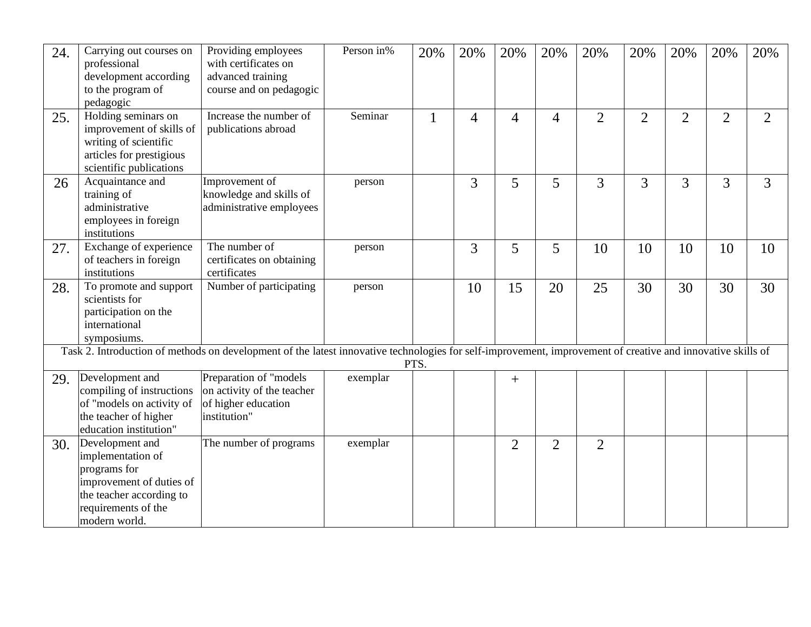| 24. | Carrying out courses on<br>professional<br>development according<br>to the program of<br>pedagogic                                                   | Providing employees<br>with certificates on<br>advanced training<br>course and on pedagogic                                                                 | Person in% | 20%          | 20%            | 20%            | 20%            | 20%            | 20%            | 20%            | 20%            | 20%            |
|-----|------------------------------------------------------------------------------------------------------------------------------------------------------|-------------------------------------------------------------------------------------------------------------------------------------------------------------|------------|--------------|----------------|----------------|----------------|----------------|----------------|----------------|----------------|----------------|
| 25. | Holding seminars on<br>improvement of skills of<br>writing of scientific<br>articles for prestigious<br>scientific publications                      | Increase the number of<br>publications abroad                                                                                                               | Seminar    | $\mathbf{1}$ | $\overline{4}$ | $\overline{4}$ | $\overline{4}$ | $\overline{2}$ | $\overline{2}$ | $\overline{2}$ | $\overline{2}$ | $\overline{2}$ |
| 26  | Acquaintance and<br>training of<br>administrative<br>employees in foreign<br>institutions                                                            | Improvement of<br>knowledge and skills of<br>administrative employees                                                                                       | person     |              | $\overline{3}$ | 5              | 5              | 3              | 3              | 3              | 3              | 3              |
| 27. | Exchange of experience<br>of teachers in foreign<br>institutions                                                                                     | The number of<br>certificates on obtaining<br>certificates                                                                                                  | person     |              | 3              | 5              | 5              | 10             | 10             | 10             | 10             | 10             |
| 28. | To promote and support<br>scientists for<br>participation on the<br>international<br>symposiums.                                                     | Number of participating                                                                                                                                     | person     |              | 10             | 15             | 20             | 25             | 30             | 30             | 30             | 30             |
|     |                                                                                                                                                      | Task 2. Introduction of methods on development of the latest innovative technologies for self-improvement, improvement of creative and innovative skills of |            | PTS.         |                |                |                |                |                |                |                |                |
| 29. | Development and<br>compiling of instructions<br>of "models on activity of<br>the teacher of higher<br>education institution"                         | Preparation of "models<br>on activity of the teacher<br>of higher education<br>institution"                                                                 | exemplar   |              |                | $^{+}$         |                |                |                |                |                |                |
| 30. | Development and<br>implementation of<br>programs for<br>improvement of duties of<br>the teacher according to<br>requirements of the<br>modern world. | The number of programs                                                                                                                                      | exemplar   |              |                | $\overline{2}$ | $\overline{2}$ | $\overline{2}$ |                |                |                |                |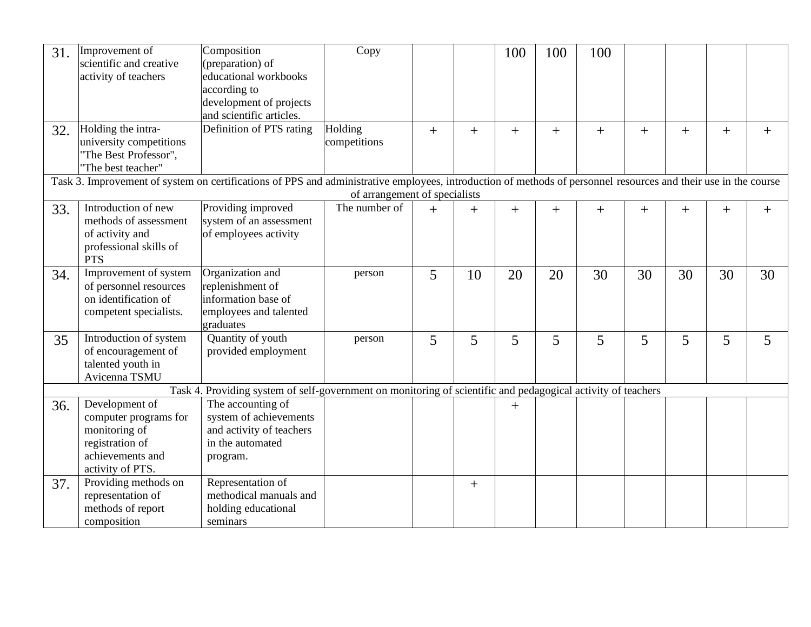| 31. | Improvement of                   | Composition                                                                                                                                                     | Copy                          |     |     | 100            | 100 | 100    |        |        |        |              |
|-----|----------------------------------|-----------------------------------------------------------------------------------------------------------------------------------------------------------------|-------------------------------|-----|-----|----------------|-----|--------|--------|--------|--------|--------------|
|     | scientific and creative          | (preparation) of                                                                                                                                                |                               |     |     |                |     |        |        |        |        |              |
|     | activity of teachers             | educational workbooks                                                                                                                                           |                               |     |     |                |     |        |        |        |        |              |
|     |                                  | according to                                                                                                                                                    |                               |     |     |                |     |        |        |        |        |              |
|     |                                  | development of projects                                                                                                                                         |                               |     |     |                |     |        |        |        |        |              |
|     |                                  | and scientific articles.                                                                                                                                        |                               |     |     |                |     |        |        |        |        |              |
| 32. | Holding the intra-               | Definition of PTS rating                                                                                                                                        | Holding                       | $+$ | $+$ | $+$            | $+$ | $+$    | $+$    | $+$    | $+$    | $^{+}$       |
|     | university competitions          |                                                                                                                                                                 | competitions                  |     |     |                |     |        |        |        |        |              |
|     | "The Best Professor",            |                                                                                                                                                                 |                               |     |     |                |     |        |        |        |        |              |
|     | "The best teacher"               |                                                                                                                                                                 |                               |     |     |                |     |        |        |        |        |              |
|     |                                  | Task 3. Improvement of system on certifications of PPS and administrative employees, introduction of methods of personnel resources and their use in the course |                               |     |     |                |     |        |        |        |        |              |
|     |                                  |                                                                                                                                                                 | of arrangement of specialists |     |     |                |     |        |        |        |        |              |
| 33. | Introduction of new              | Providing improved                                                                                                                                              | The number of                 | $+$ | $+$ | $\overline{+}$ | $+$ | $^{+}$ | $^{+}$ | $^{+}$ | $^{+}$ | $\mathrm{+}$ |
|     | methods of assessment            | system of an assessment                                                                                                                                         |                               |     |     |                |     |        |        |        |        |              |
|     | of activity and                  | of employees activity                                                                                                                                           |                               |     |     |                |     |        |        |        |        |              |
|     | professional skills of           |                                                                                                                                                                 |                               |     |     |                |     |        |        |        |        |              |
|     | <b>PTS</b>                       |                                                                                                                                                                 |                               |     |     |                |     |        |        |        |        |              |
| 34. | Improvement of system            | Organization and                                                                                                                                                | person                        | 5   | 10  | 20             | 20  | 30     | 30     | 30     | 30     | 30           |
|     | of personnel resources           | replenishment of                                                                                                                                                |                               |     |     |                |     |        |        |        |        |              |
|     | on identification of             | information base of                                                                                                                                             |                               |     |     |                |     |        |        |        |        |              |
|     | competent specialists.           | employees and talented                                                                                                                                          |                               |     |     |                |     |        |        |        |        |              |
|     |                                  | graduates                                                                                                                                                       |                               |     |     |                |     |        |        |        |        |              |
| 35  | Introduction of system           | Quantity of youth                                                                                                                                               | person                        | 5   | 5   | 5              | 5   | 5      | 5      | 5      | 5      | 5            |
|     | of encouragement of              | provided employment                                                                                                                                             |                               |     |     |                |     |        |        |        |        |              |
|     | talented youth in                |                                                                                                                                                                 |                               |     |     |                |     |        |        |        |        |              |
|     | Avicenna TSMU                    |                                                                                                                                                                 |                               |     |     |                |     |        |        |        |        |              |
|     | Development of                   | Task 4. Providing system of self-government on monitoring of scientific and pedagogical activity of teachers<br>The accounting of                               |                               |     |     |                |     |        |        |        |        |              |
| 36. | computer programs for            | system of achievements                                                                                                                                          |                               |     |     | $\mathrm{+}$   |     |        |        |        |        |              |
|     |                                  | and activity of teachers                                                                                                                                        |                               |     |     |                |     |        |        |        |        |              |
|     | monitoring of<br>registration of | in the automated                                                                                                                                                |                               |     |     |                |     |        |        |        |        |              |
|     | achievements and                 |                                                                                                                                                                 |                               |     |     |                |     |        |        |        |        |              |
|     | activity of PTS.                 | program.                                                                                                                                                        |                               |     |     |                |     |        |        |        |        |              |
|     | Providing methods on             | Representation of                                                                                                                                               |                               |     |     |                |     |        |        |        |        |              |
| 37. | representation of                | methodical manuals and                                                                                                                                          |                               |     | $+$ |                |     |        |        |        |        |              |
|     | methods of report                | holding educational                                                                                                                                             |                               |     |     |                |     |        |        |        |        |              |
|     | composition                      | seminars                                                                                                                                                        |                               |     |     |                |     |        |        |        |        |              |
|     |                                  |                                                                                                                                                                 |                               |     |     |                |     |        |        |        |        |              |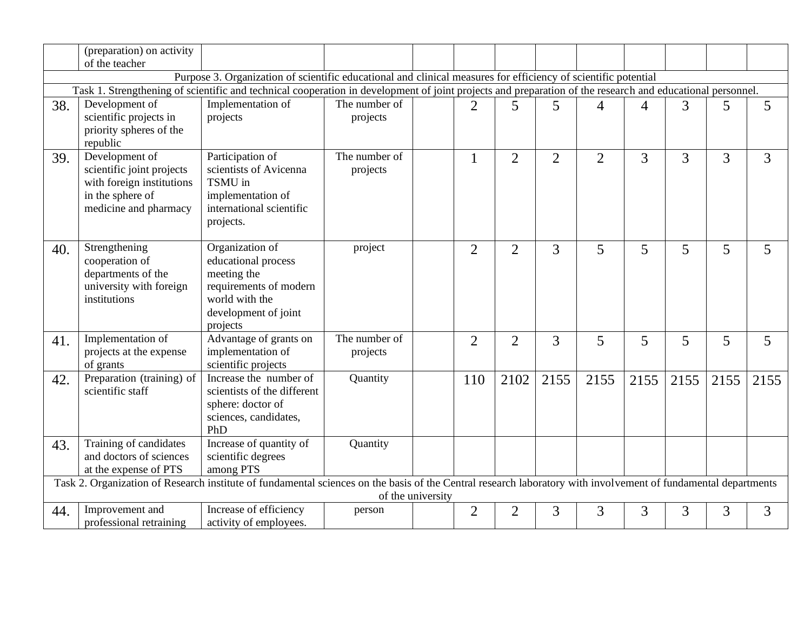|     | (preparation) on activity                                                                                             |                                                                                                                                                                                |                           |                   |                |                |                |                |                |      |      |                |
|-----|-----------------------------------------------------------------------------------------------------------------------|--------------------------------------------------------------------------------------------------------------------------------------------------------------------------------|---------------------------|-------------------|----------------|----------------|----------------|----------------|----------------|------|------|----------------|
|     | of the teacher                                                                                                        |                                                                                                                                                                                |                           |                   |                |                |                |                |                |      |      |                |
|     |                                                                                                                       | Purpose 3. Organization of scientific educational and clinical measures for efficiency of scientific potential                                                                 |                           |                   |                |                |                |                |                |      |      |                |
|     | Development of                                                                                                        | Task 1. Strengthening of scientific and technical cooperation in development of joint projects and preparation of the research and educational personnel.<br>Implementation of | The number of             |                   |                |                |                |                |                |      |      |                |
| 38. | scientific projects in<br>priority spheres of the<br>republic                                                         | projects                                                                                                                                                                       | projects                  |                   | $\overline{2}$ | 5              | 5              | $\overline{4}$ | $\overline{4}$ | 3    | 5    | 5              |
| 39. | Development of<br>scientific joint projects<br>with foreign institutions<br>in the sphere of<br>medicine and pharmacy | Participation of<br>scientists of Avicenna<br>TSMU in<br>implementation of<br>international scientific<br>projects.                                                            | The number of<br>projects |                   | 1              | $\overline{2}$ | $\overline{2}$ | $\overline{2}$ | 3              | 3    | 3    | $\overline{3}$ |
| 40. | Strengthening<br>cooperation of<br>departments of the<br>university with foreign<br>institutions                      | Organization of<br>educational process<br>meeting the<br>requirements of modern<br>world with the<br>development of joint<br>projects                                          | project                   |                   | $\overline{2}$ | $\overline{2}$ | 3              | 5              | 5              | 5    | 5    | 5              |
| 41. | Implementation of<br>projects at the expense<br>of grants                                                             | Advantage of grants on<br>implementation of<br>scientific projects                                                                                                             | The number of<br>projects |                   | $\overline{2}$ | $\overline{2}$ | 3              | 5              | 5              | 5    | 5    | 5              |
| 42. | Preparation (training) of<br>scientific staff                                                                         | Increase the number of<br>scientists of the different<br>sphere: doctor of<br>sciences, candidates,<br>PhD                                                                     | Quantity                  |                   | 110            | 2102           | 2155           | 2155           | 2155           | 2155 | 2155 | 2155           |
| 43. | Training of candidates<br>and doctors of sciences<br>at the expense of PTS                                            | Increase of quantity of<br>scientific degrees<br>among PTS                                                                                                                     | Quantity                  |                   |                |                |                |                |                |      |      |                |
|     |                                                                                                                       | Task 2. Organization of Research institute of fundamental sciences on the basis of the Central research laboratory with involvement of fundamental departments                 |                           | of the university |                |                |                |                |                |      |      |                |
|     | Improvement and                                                                                                       | Increase of efficiency                                                                                                                                                         |                           |                   |                |                |                |                |                |      |      |                |
| 44. | professional retraining                                                                                               | activity of employees.                                                                                                                                                         | person                    |                   | $\overline{2}$ | $\overline{2}$ | 3              | 3              | 3              | 3    | 3    | 3              |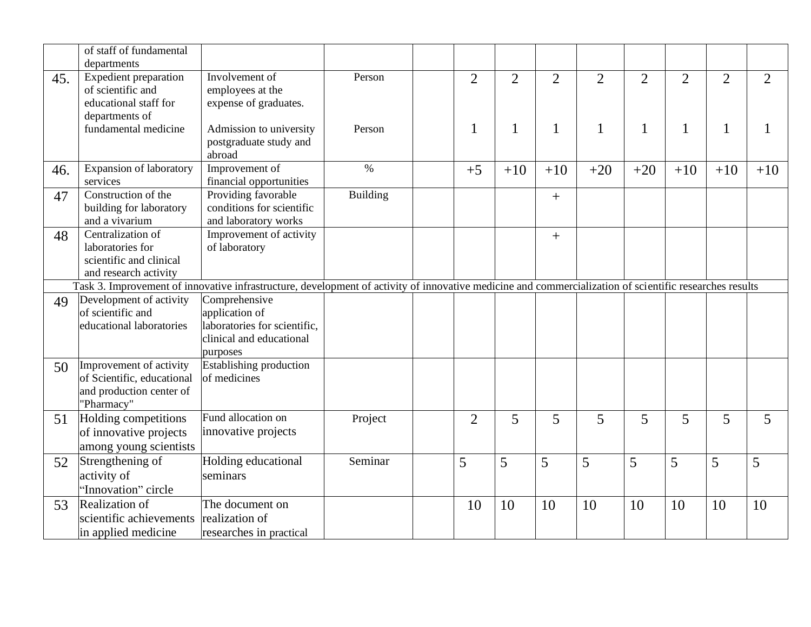|     | of staff of fundamental<br>departments                                                          |                                                                                                                                                         |                 |                |                |                |                |                |                |                |                |
|-----|-------------------------------------------------------------------------------------------------|---------------------------------------------------------------------------------------------------------------------------------------------------------|-----------------|----------------|----------------|----------------|----------------|----------------|----------------|----------------|----------------|
| 45. | Expedient preparation<br>of scientific and<br>educational staff for                             | Involvement of<br>employees at the<br>expense of graduates.                                                                                             | Person          | $\overline{2}$ | $\overline{2}$ | $\overline{2}$ | $\overline{2}$ | $\overline{2}$ | $\overline{2}$ | $\overline{2}$ | $\overline{2}$ |
|     | departments of<br>fundamental medicine                                                          | Admission to university<br>postgraduate study and<br>abroad                                                                                             | Person          | 1              | $\mathbf{1}$   | 1              | 1              | 1              | 1              | 1              |                |
| 46. | <b>Expansion of laboratory</b><br>services                                                      | Improvement of<br>financial opportunities                                                                                                               | $\%$            | $+5$           | $+10$          | $+10$          | $+20$          | $+20$          | $+10$          | $+10$          | $+10$          |
| 47  | Construction of the<br>building for laboratory<br>and a vivarium                                | Providing favorable<br>conditions for scientific<br>and laboratory works                                                                                | <b>Building</b> |                |                | $^{+}$         |                |                |                |                |                |
| 48  | Centralization of<br>laboratories for<br>scientific and clinical<br>and research activity       | Improvement of activity<br>of laboratory                                                                                                                |                 |                |                | $^{+}$         |                |                |                |                |                |
|     |                                                                                                 | Task 3. Improvement of innovative infrastructure, development of activity of innovative medicine and commercialization of scientific researches results |                 |                |                |                |                |                |                |                |                |
| 49  | Development of activity<br>of scientific and<br>educational laboratories                        | Comprehensive<br>application of<br>laboratories for scientific,<br>clinical and educational<br>purposes                                                 |                 |                |                |                |                |                |                |                |                |
| 50  | Improvement of activity<br>of Scientific, educational<br>and production center of<br>"Pharmacy" | Establishing production<br>of medicines                                                                                                                 |                 |                |                |                |                |                |                |                |                |
| 51  | Holding competitions<br>of innovative projects<br>among young scientists                        | Fund allocation on<br>innovative projects                                                                                                               | Project         | $\overline{2}$ | 5              | 5              | 5              | 5              | 5              | 5              | 5              |
| 52  | Strengthening of<br>activity of<br>"Innovation" circle                                          | Holding educational<br>seminars                                                                                                                         | Seminar         | 5              | 5              | 5              | 5              | 5              | 5              | 5              | 5              |
| 53  | Realization of<br>scientific achievements<br>in applied medicine                                | The document on<br>realization of<br>researches in practical                                                                                            |                 | 10             | 10             | 10             | 10             | 10             | 10             | 10             | 10             |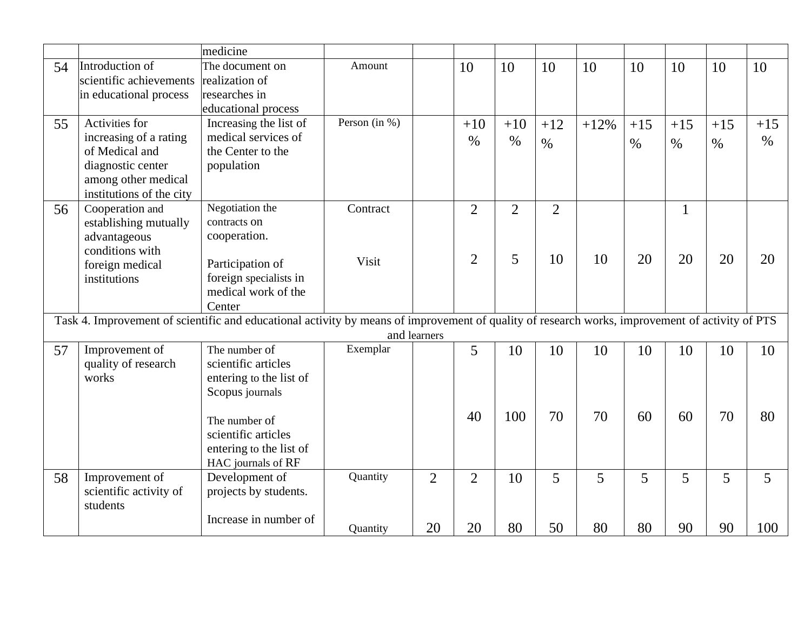|    |                          | medicine                                                                                                                                        |                  |                |                |                |                |        |               |              |       |               |
|----|--------------------------|-------------------------------------------------------------------------------------------------------------------------------------------------|------------------|----------------|----------------|----------------|----------------|--------|---------------|--------------|-------|---------------|
| 54 | Introduction of          | The document on                                                                                                                                 | Amount           |                | 10             | 10             | 10             | 10     | 10            | 10           | 10    | 10            |
|    | scientific achievements  | realization of                                                                                                                                  |                  |                |                |                |                |        |               |              |       |               |
|    | in educational process   | researches in                                                                                                                                   |                  |                |                |                |                |        |               |              |       |               |
|    |                          | educational process                                                                                                                             |                  |                |                |                |                |        |               |              |       |               |
| 55 | Activities for           | Increasing the list of                                                                                                                          | Person (in $%$ ) |                | $+10$          | $+10$          | $+12$          | $+12%$ | $+15$         | $+15$        | $+15$ | $+15$         |
|    | increasing of a rating   | medical services of                                                                                                                             |                  |                | $\frac{0}{0}$  | $\%$           | $\%$           |        | $\frac{0}{0}$ | $\%$         | $\%$  | $\frac{0}{0}$ |
|    | of Medical and           | the Center to the                                                                                                                               |                  |                |                |                |                |        |               |              |       |               |
|    | diagnostic center        | population                                                                                                                                      |                  |                |                |                |                |        |               |              |       |               |
|    | among other medical      |                                                                                                                                                 |                  |                |                |                |                |        |               |              |       |               |
|    | institutions of the city |                                                                                                                                                 |                  |                |                |                |                |        |               |              |       |               |
| 56 | Cooperation and          | Negotiation the                                                                                                                                 | Contract         |                | $\overline{2}$ | $\overline{2}$ | $\overline{2}$ |        |               | $\mathbf{1}$ |       |               |
|    | establishing mutually    | contracts on                                                                                                                                    |                  |                |                |                |                |        |               |              |       |               |
|    | advantageous             | cooperation.                                                                                                                                    |                  |                |                |                |                |        |               |              |       |               |
|    | conditions with          |                                                                                                                                                 | Visit            |                | $\overline{2}$ | 5              | 10             | 10     | 20            | 20           | 20    | 20            |
|    | foreign medical          | Participation of                                                                                                                                |                  |                |                |                |                |        |               |              |       |               |
|    | institutions             | foreign specialists in                                                                                                                          |                  |                |                |                |                |        |               |              |       |               |
|    |                          | medical work of the                                                                                                                             |                  |                |                |                |                |        |               |              |       |               |
|    |                          | Center                                                                                                                                          |                  |                |                |                |                |        |               |              |       |               |
|    |                          | Task 4. Improvement of scientific and educational activity by means of improvement of quality of research works, improvement of activity of PTS |                  |                |                |                |                |        |               |              |       |               |
|    | Improvement of           | The number of                                                                                                                                   |                  | and learners   |                |                |                |        |               |              |       |               |
| 57 | quality of research      | scientific articles                                                                                                                             | Exemplar         |                | 5              | 10             | 10             | 10     | 10            | 10           | 10    | 10            |
|    | works                    |                                                                                                                                                 |                  |                |                |                |                |        |               |              |       |               |
|    |                          | entering to the list of<br>Scopus journals                                                                                                      |                  |                |                |                |                |        |               |              |       |               |
|    |                          |                                                                                                                                                 |                  |                |                |                |                |        |               |              |       |               |
|    |                          | The number of                                                                                                                                   |                  |                | 40             | 100            | 70             | 70     | 60            | 60           | 70    | 80            |
|    |                          | scientific articles                                                                                                                             |                  |                |                |                |                |        |               |              |       |               |
|    |                          | entering to the list of                                                                                                                         |                  |                |                |                |                |        |               |              |       |               |
|    |                          | HAC journals of RF                                                                                                                              |                  |                |                |                |                |        |               |              |       |               |
| 58 | Improvement of           | Development of                                                                                                                                  | Quantity         | $\overline{2}$ | $\overline{2}$ | 10             | 5              | 5      | 5             | 5            | 5     | 5             |
|    | scientific activity of   | projects by students.                                                                                                                           |                  |                |                |                |                |        |               |              |       |               |
|    | students                 |                                                                                                                                                 |                  |                |                |                |                |        |               |              |       |               |
|    |                          | Increase in number of                                                                                                                           |                  |                |                |                |                |        |               |              |       |               |
|    |                          |                                                                                                                                                 | Quantity         | 20             | 20             | 80             | 50             | 80     | 80            | 90           | 90    | 100           |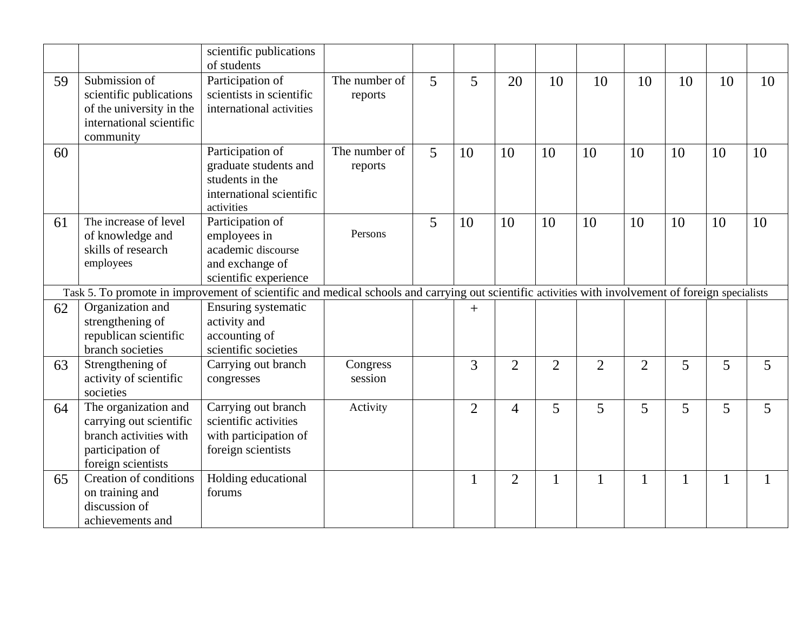|    |                                                                                                                     | scientific publications<br>of students                                                                                                             |                          |   |                |                |                |                |                |    |    |    |
|----|---------------------------------------------------------------------------------------------------------------------|----------------------------------------------------------------------------------------------------------------------------------------------------|--------------------------|---|----------------|----------------|----------------|----------------|----------------|----|----|----|
| 59 | Submission of<br>scientific publications<br>of the university in the<br>international scientific<br>community       | Participation of<br>scientists in scientific<br>international activities                                                                           | The number of<br>reports | 5 | 5              | 20             | 10             | 10             | 10             | 10 | 10 | 10 |
| 60 |                                                                                                                     | Participation of<br>graduate students and<br>students in the<br>international scientific<br>activities                                             | The number of<br>reports | 5 | 10             | 10             | 10             | 10             | 10             | 10 | 10 | 10 |
| 61 | The increase of level<br>of knowledge and<br>skills of research<br>employees                                        | Participation of<br>employees in<br>academic discourse<br>and exchange of<br>scientific experience                                                 | Persons                  | 5 | 10             | 10             | 10             | 10             | 10             | 10 | 10 | 10 |
|    |                                                                                                                     | Task 5. To promote in improvement of scientific and medical schools and carrying out scientific activities with involvement of foreign specialists |                          |   |                |                |                |                |                |    |    |    |
| 62 | Organization and<br>strengthening of<br>republican scientific<br>branch societies                                   | Ensuring systematic<br>activity and<br>accounting of<br>scientific societies                                                                       |                          |   | $+$            |                |                |                |                |    |    |    |
| 63 | Strengthening of<br>activity of scientific<br>societies                                                             | Carrying out branch<br>congresses                                                                                                                  | Congress<br>session      |   | $\overline{3}$ | $\overline{2}$ | $\overline{2}$ | $\overline{2}$ | $\overline{2}$ | 5  | 5  | 5  |
| 64 | The organization and<br>carrying out scientific<br>branch activities with<br>participation of<br>foreign scientists | Carrying out branch<br>scientific activities<br>with participation of<br>foreign scientists                                                        | Activity                 |   | $\overline{2}$ | 4              | 5              | 5              | 5              | 5  | 5  | 5  |
| 65 | Creation of conditions<br>on training and<br>discussion of<br>achievements and                                      | Holding educational<br>forums                                                                                                                      |                          |   | 1              | $\overline{2}$ | 1              |                | $\mathbf{1}$   | 1  | 1  | 1  |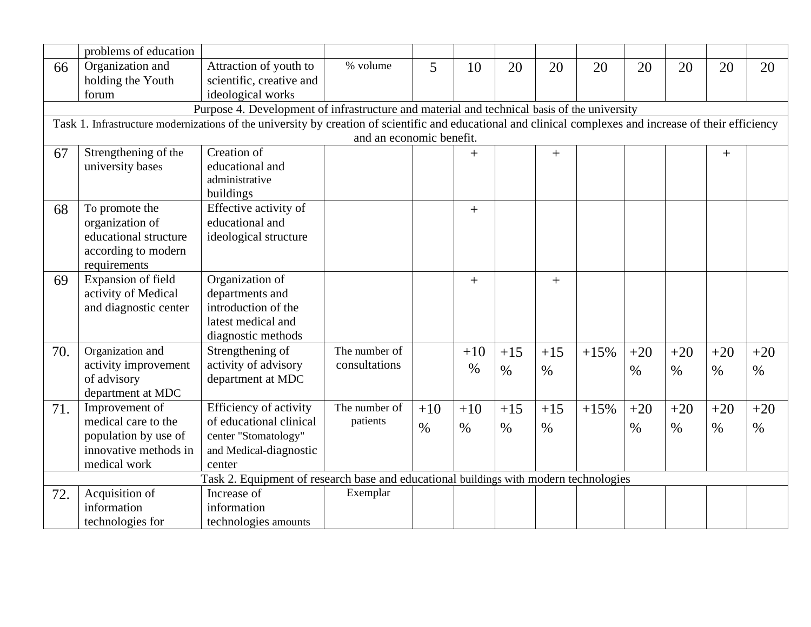|     | problems of education |                                                                                                                                                           |                          |       |       |       |       |        |       |       |       |       |
|-----|-----------------------|-----------------------------------------------------------------------------------------------------------------------------------------------------------|--------------------------|-------|-------|-------|-------|--------|-------|-------|-------|-------|
| 66  | Organization and      | Attraction of youth to                                                                                                                                    | % volume                 | 5     | 10    | 20    | 20    | 20     | 20    | 20    | 20    | 20    |
|     | holding the Youth     | scientific, creative and                                                                                                                                  |                          |       |       |       |       |        |       |       |       |       |
|     | forum                 | ideological works                                                                                                                                         |                          |       |       |       |       |        |       |       |       |       |
|     |                       | Purpose 4. Development of infrastructure and material and technical basis of the university                                                               |                          |       |       |       |       |        |       |       |       |       |
|     |                       | Task 1. Infrastructure modernizations of the university by creation of scientific and educational and clinical complexes and increase of their efficiency |                          |       |       |       |       |        |       |       |       |       |
|     |                       |                                                                                                                                                           | and an economic benefit. |       |       |       |       |        |       |       |       |       |
| 67  | Strengthening of the  | Creation of                                                                                                                                               |                          |       | $+$   |       | $+$   |        |       |       | $+$   |       |
|     | university bases      | educational and                                                                                                                                           |                          |       |       |       |       |        |       |       |       |       |
|     |                       | administrative                                                                                                                                            |                          |       |       |       |       |        |       |       |       |       |
|     |                       | buildings                                                                                                                                                 |                          |       |       |       |       |        |       |       |       |       |
| 68  | To promote the        | Effective activity of                                                                                                                                     |                          |       | $+$   |       |       |        |       |       |       |       |
|     | organization of       | educational and                                                                                                                                           |                          |       |       |       |       |        |       |       |       |       |
|     | educational structure | ideological structure                                                                                                                                     |                          |       |       |       |       |        |       |       |       |       |
|     | according to modern   |                                                                                                                                                           |                          |       |       |       |       |        |       |       |       |       |
|     | requirements          |                                                                                                                                                           |                          |       |       |       |       |        |       |       |       |       |
| 69  | Expansion of field    | Organization of                                                                                                                                           |                          |       | $+$   |       | $+$   |        |       |       |       |       |
|     | activity of Medical   | departments and                                                                                                                                           |                          |       |       |       |       |        |       |       |       |       |
|     | and diagnostic center | introduction of the                                                                                                                                       |                          |       |       |       |       |        |       |       |       |       |
|     |                       | latest medical and                                                                                                                                        |                          |       |       |       |       |        |       |       |       |       |
|     |                       | diagnostic methods                                                                                                                                        |                          |       |       |       |       |        |       |       |       |       |
| 70. | Organization and      | Strengthening of                                                                                                                                          | The number of            |       | $+10$ | $+15$ | $+15$ | $+15%$ | $+20$ | $+20$ | $+20$ | $+20$ |
|     | activity improvement  | activity of advisory                                                                                                                                      | consultations            |       | $\%$  | $\%$  | $\%$  |        | $\%$  | $\%$  | $\%$  | $\%$  |
|     | of advisory           | department at MDC                                                                                                                                         |                          |       |       |       |       |        |       |       |       |       |
|     | department at MDC     |                                                                                                                                                           |                          |       |       |       |       |        |       |       |       |       |
| 71. | Improvement of        | Efficiency of activity                                                                                                                                    | The number of            | $+10$ | $+10$ | $+15$ | $+15$ | $+15%$ | $+20$ | $+20$ | $+20$ | $+20$ |
|     | medical care to the   | of educational clinical                                                                                                                                   | patients                 | $\%$  | $\%$  | $\%$  | $\%$  |        | $\%$  | $\%$  | $\%$  | $\%$  |
|     | population by use of  | center "Stomatology"                                                                                                                                      |                          |       |       |       |       |        |       |       |       |       |
|     | innovative methods in | and Medical-diagnostic                                                                                                                                    |                          |       |       |       |       |        |       |       |       |       |
|     | medical work          | center                                                                                                                                                    |                          |       |       |       |       |        |       |       |       |       |
|     |                       | Task 2. Equipment of research base and educational buildings with modern technologies                                                                     |                          |       |       |       |       |        |       |       |       |       |
| 72. | Acquisition of        | Increase of                                                                                                                                               | Exemplar                 |       |       |       |       |        |       |       |       |       |
|     | information           | information                                                                                                                                               |                          |       |       |       |       |        |       |       |       |       |
|     | technologies for      | technologies amounts                                                                                                                                      |                          |       |       |       |       |        |       |       |       |       |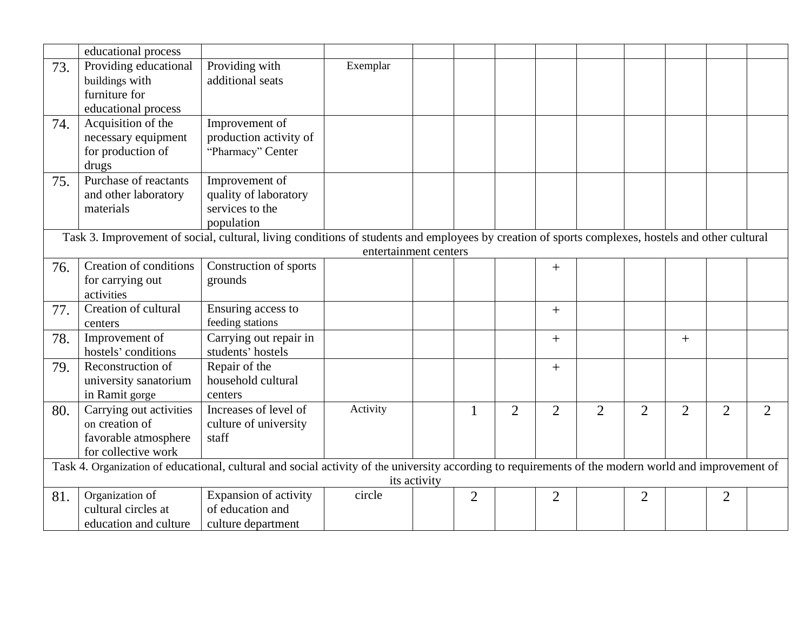|     | educational process     |                                                                                                                                                      |                       |              |                |                |                |                |                |                |                |                |
|-----|-------------------------|------------------------------------------------------------------------------------------------------------------------------------------------------|-----------------------|--------------|----------------|----------------|----------------|----------------|----------------|----------------|----------------|----------------|
| 73. | Providing educational   | Providing with                                                                                                                                       | Exemplar              |              |                |                |                |                |                |                |                |                |
|     | buildings with          | additional seats                                                                                                                                     |                       |              |                |                |                |                |                |                |                |                |
|     | furniture for           |                                                                                                                                                      |                       |              |                |                |                |                |                |                |                |                |
|     | educational process     |                                                                                                                                                      |                       |              |                |                |                |                |                |                |                |                |
| 74. | Acquisition of the      | Improvement of                                                                                                                                       |                       |              |                |                |                |                |                |                |                |                |
|     | necessary equipment     | production activity of                                                                                                                               |                       |              |                |                |                |                |                |                |                |                |
|     | for production of       | "Pharmacy" Center                                                                                                                                    |                       |              |                |                |                |                |                |                |                |                |
|     | drugs                   |                                                                                                                                                      |                       |              |                |                |                |                |                |                |                |                |
| 75. | Purchase of reactants   | Improvement of                                                                                                                                       |                       |              |                |                |                |                |                |                |                |                |
|     | and other laboratory    | quality of laboratory                                                                                                                                |                       |              |                |                |                |                |                |                |                |                |
|     | materials               | services to the                                                                                                                                      |                       |              |                |                |                |                |                |                |                |                |
|     |                         | population                                                                                                                                           |                       |              |                |                |                |                |                |                |                |                |
|     |                         | Task 3. Improvement of social, cultural, living conditions of students and employees by creation of sports complexes, hostels and other cultural     |                       |              |                |                |                |                |                |                |                |                |
|     |                         |                                                                                                                                                      | entertainment centers |              |                |                |                |                |                |                |                |                |
| 76. | Creation of conditions  | Construction of sports                                                                                                                               |                       |              |                |                | $^{+}$         |                |                |                |                |                |
|     | for carrying out        | grounds                                                                                                                                              |                       |              |                |                |                |                |                |                |                |                |
|     | activities              |                                                                                                                                                      |                       |              |                |                |                |                |                |                |                |                |
| 77. | Creation of cultural    | Ensuring access to                                                                                                                                   |                       |              |                |                | $+$            |                |                |                |                |                |
|     | centers                 | feeding stations                                                                                                                                     |                       |              |                |                |                |                |                |                |                |                |
| 78. | Improvement of          | Carrying out repair in                                                                                                                               |                       |              |                |                | $+$            |                |                | $+$            |                |                |
|     | hostels' conditions     | students' hostels                                                                                                                                    |                       |              |                |                |                |                |                |                |                |                |
| 79. | Reconstruction of       | Repair of the                                                                                                                                        |                       |              |                |                | $^{+}$         |                |                |                |                |                |
|     | university sanatorium   | household cultural                                                                                                                                   |                       |              |                |                |                |                |                |                |                |                |
|     | in Ramit gorge          | centers                                                                                                                                              |                       |              |                |                |                |                |                |                |                |                |
| 80. | Carrying out activities | Increases of level of                                                                                                                                | Activity              |              | 1              | $\overline{2}$ | $\overline{2}$ | $\overline{2}$ | $\overline{2}$ | $\overline{2}$ | $\overline{2}$ | $\overline{2}$ |
|     | on creation of          | culture of university                                                                                                                                |                       |              |                |                |                |                |                |                |                |                |
|     | favorable atmosphere    | staff                                                                                                                                                |                       |              |                |                |                |                |                |                |                |                |
|     | for collective work     |                                                                                                                                                      |                       |              |                |                |                |                |                |                |                |                |
|     |                         | Task 4. Organization of educational, cultural and social activity of the university according to requirements of the modern world and improvement of |                       |              |                |                |                |                |                |                |                |                |
|     |                         |                                                                                                                                                      |                       | its activity |                |                |                |                |                |                |                |                |
| 81. | Organization of         | Expansion of activity                                                                                                                                | circle                |              | $\overline{2}$ |                | $\overline{2}$ |                | $\overline{2}$ |                | $\overline{2}$ |                |
|     | cultural circles at     | of education and                                                                                                                                     |                       |              |                |                |                |                |                |                |                |                |
|     | education and culture   | culture department                                                                                                                                   |                       |              |                |                |                |                |                |                |                |                |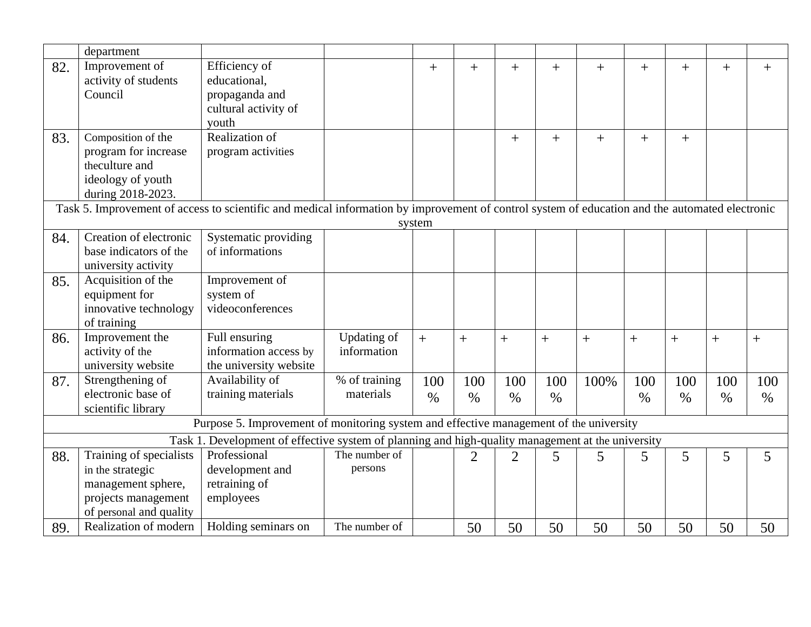|                                                                                                                                                | department              |                        |               |            |                |                |                |      |                |      |      |        |
|------------------------------------------------------------------------------------------------------------------------------------------------|-------------------------|------------------------|---------------|------------|----------------|----------------|----------------|------|----------------|------|------|--------|
| 82.                                                                                                                                            | Improvement of          | Efficiency of          |               | $+$        | $+$            | $+$            | $+$            | $+$  | $^{+}$         | $+$  | $+$  | $^{+}$ |
|                                                                                                                                                | activity of students    | educational,           |               |            |                |                |                |      |                |      |      |        |
|                                                                                                                                                | Council                 | propaganda and         |               |            |                |                |                |      |                |      |      |        |
|                                                                                                                                                |                         | cultural activity of   |               |            |                |                |                |      |                |      |      |        |
|                                                                                                                                                |                         | youth                  |               |            |                |                |                |      |                |      |      |        |
| 83.                                                                                                                                            | Composition of the      | Realization of         |               |            |                | $+$            | $+$            | $+$  | $\overline{+}$ | $+$  |      |        |
|                                                                                                                                                | program for increase    | program activities     |               |            |                |                |                |      |                |      |      |        |
|                                                                                                                                                | theculture and          |                        |               |            |                |                |                |      |                |      |      |        |
|                                                                                                                                                | ideology of youth       |                        |               |            |                |                |                |      |                |      |      |        |
|                                                                                                                                                | during 2018-2023.       |                        |               |            |                |                |                |      |                |      |      |        |
| Task 5. Improvement of access to scientific and medical information by improvement of control system of education and the automated electronic |                         |                        |               |            |                |                |                |      |                |      |      |        |
| system                                                                                                                                         |                         |                        |               |            |                |                |                |      |                |      |      |        |
| 84.                                                                                                                                            | Creation of electronic  | Systematic providing   |               |            |                |                |                |      |                |      |      |        |
|                                                                                                                                                | base indicators of the  | of informations        |               |            |                |                |                |      |                |      |      |        |
|                                                                                                                                                | university activity     |                        |               |            |                |                |                |      |                |      |      |        |
| 85.                                                                                                                                            | Acquisition of the      | Improvement of         |               |            |                |                |                |      |                |      |      |        |
|                                                                                                                                                | equipment for           | system of              |               |            |                |                |                |      |                |      |      |        |
|                                                                                                                                                | innovative technology   | videoconferences       |               |            |                |                |                |      |                |      |      |        |
|                                                                                                                                                | of training             |                        |               |            |                |                |                |      |                |      |      |        |
| 86.                                                                                                                                            | Improvement the         | Full ensuring          | Updating of   | $\ddot{+}$ | $\overline{+}$ | $+$            | $\overline{+}$ | $+$  | $+$            | $+$  | $+$  | $+$    |
|                                                                                                                                                | activity of the         | information access by  | information   |            |                |                |                |      |                |      |      |        |
|                                                                                                                                                | university website      | the university website |               |            |                |                |                |      |                |      |      |        |
| 87.                                                                                                                                            | Strengthening of        | Availability of        | % of training | 100        | 100            | 100            | 100            | 100% | 100            | 100  | 100  | 100    |
|                                                                                                                                                | electronic base of      | training materials     | materials     | $\%$       | $\%$           | $\%$           | $\%$           |      | $\%$           | $\%$ | $\%$ | $\%$   |
|                                                                                                                                                | scientific library      |                        |               |            |                |                |                |      |                |      |      |        |
| Purpose 5. Improvement of monitoring system and effective management of the university                                                         |                         |                        |               |            |                |                |                |      |                |      |      |        |
| Task 1. Development of effective system of planning and high-quality management at the university                                              |                         |                        |               |            |                |                |                |      |                |      |      |        |
| 88.                                                                                                                                            | Training of specialists | Professional           | The number of |            | $\overline{2}$ | $\overline{2}$ | 5              | 5    | 5              | 5    | 5    | 5      |
|                                                                                                                                                | in the strategic        | development and        | persons       |            |                |                |                |      |                |      |      |        |
|                                                                                                                                                | management sphere,      | retraining of          |               |            |                |                |                |      |                |      |      |        |
|                                                                                                                                                | projects management     | employees              |               |            |                |                |                |      |                |      |      |        |
|                                                                                                                                                | of personal and quality |                        |               |            |                |                |                |      |                |      |      |        |
| 89.                                                                                                                                            | Realization of modern   | Holding seminars on    | The number of |            | 50             | 50             | 50             | 50   | 50             | 50   | 50   | 50     |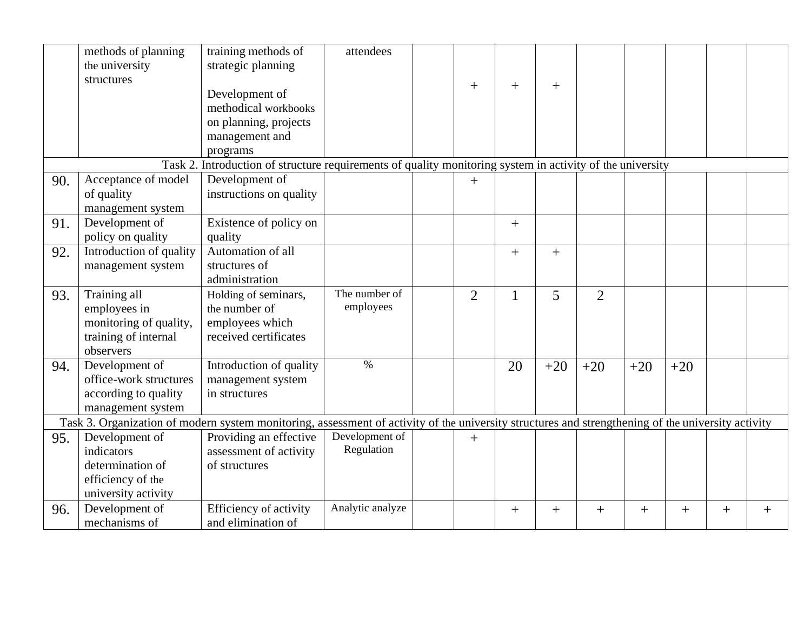|                                                                                                           | methods of planning<br>the university<br>structures                                                                                                | training methods of<br>strategic planning<br>Development of<br>methodical workbooks<br>on planning, projects<br>management and<br>programs | attendees                    |  | $+$            | $^{+}$             | $+$   |                |        |        |        |        |
|-----------------------------------------------------------------------------------------------------------|----------------------------------------------------------------------------------------------------------------------------------------------------|--------------------------------------------------------------------------------------------------------------------------------------------|------------------------------|--|----------------|--------------------|-------|----------------|--------|--------|--------|--------|
| Task 2. Introduction of structure requirements of quality monitoring system in activity of the university |                                                                                                                                                    |                                                                                                                                            |                              |  |                |                    |       |                |        |        |        |        |
| 90.                                                                                                       | Acceptance of model<br>of quality<br>management system                                                                                             | Development of<br>instructions on quality                                                                                                  |                              |  | $+$            |                    |       |                |        |        |        |        |
| 91.                                                                                                       | Development of<br>policy on quality                                                                                                                | Existence of policy on<br>quality                                                                                                          |                              |  |                | $^{+}$             |       |                |        |        |        |        |
| 92.                                                                                                       | Introduction of quality<br>management system                                                                                                       | Automation of all<br>structures of<br>administration                                                                                       |                              |  |                | $^{+}$             | $+$   |                |        |        |        |        |
| 93.                                                                                                       | Training all<br>employees in<br>monitoring of quality,<br>training of internal<br>observers                                                        | Holding of seminars,<br>the number of<br>employees which<br>received certificates                                                          | The number of<br>employees   |  | $\overline{2}$ | $\mathbf{1}$       | 5     | $\overline{2}$ |        |        |        |        |
| 94.                                                                                                       | Development of<br>office-work structures<br>according to quality<br>management system                                                              | Introduction of quality<br>management system<br>in structures                                                                              | $\%$                         |  |                | 20                 | $+20$ | $+20$          | $+20$  | $+20$  |        |        |
|                                                                                                           | Task 3. Organization of modern system monitoring, assessment of activity of the university structures and strengthening of the university activity |                                                                                                                                            |                              |  |                |                    |       |                |        |        |        |        |
| 95.                                                                                                       | Development of<br>indicators<br>determination of<br>efficiency of the<br>university activity                                                       | Providing an effective<br>assessment of activity<br>of structures                                                                          | Development of<br>Regulation |  | $+$            |                    |       |                |        |        |        |        |
| 96.                                                                                                       | Development of<br>mechanisms of                                                                                                                    | Efficiency of activity<br>and elimination of                                                                                               | Analytic analyze             |  |                | $\hspace{0.1mm} +$ | $+$   | $^{+}$         | $^{+}$ | $^{+}$ | $^{+}$ | $^{+}$ |